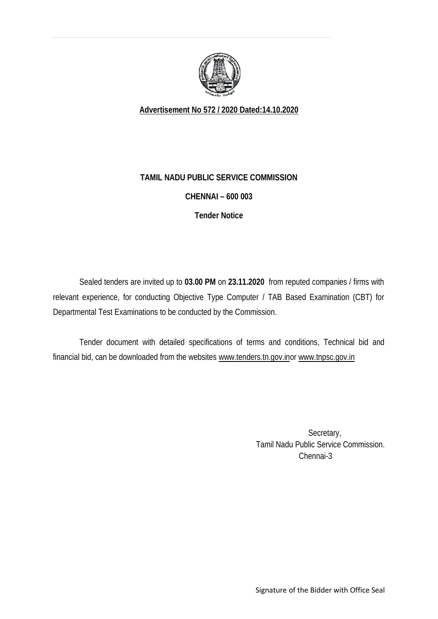

**Advertisement No 572 / 2020 Dated:14.10.2020**

## **TAMIL NADU PUBLIC SERVICE COMMISSION**

## **CHENNAI – 600 003**

**Tender Notice**

Sealed tenders are invited up to **03.00 PM** on **23.11.2020** from reputed companies / firms with relevant experience, for conducting Objective Type Computer / TAB Based Examination (CBT) for Departmental Test Examinations to be conducted by the Commission.

Tender document with detailed specifications of terms and conditions, Technical bid and financial bid, can be downloaded from the websites www.tenders.tn.gov.inor www.tnpsc.gov.in

> Secretary, Tamil Nadu Public Service Commission. Chennai-3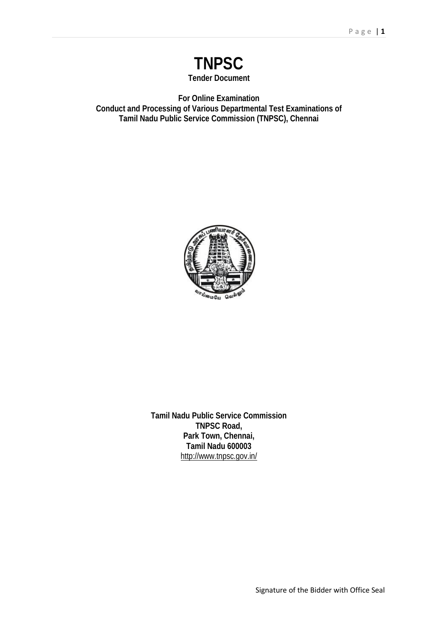

**For Online Examination Conduct and Processing of Various Departmental Test Examinations of Tamil Nadu Public Service Commission (TNPSC), Chennai**



**Tamil Nadu Public Service Commission TNPSC Road, Park Town, Chennai, Tamil Nadu 600003** http://www.tnpsc.gov.in/

Signature of the Bidder with Office Seal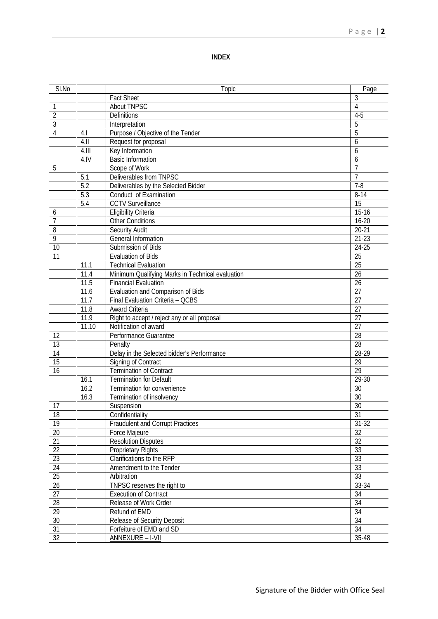#### **INDEX**

| SI.No           |       | Topic                                                   | Page            |
|-----------------|-------|---------------------------------------------------------|-----------------|
|                 |       | <b>Fact Sheet</b>                                       | 3               |
| 1               |       | <b>About TNPSC</b>                                      | 4               |
| $\overline{2}$  |       | Definitions                                             | $4-5$           |
| 3               |       | Interpretation                                          | 5               |
| 4               | 4.1   | Purpose / Objective of the Tender                       | 5               |
|                 | 4.11  | Request for proposal                                    | 6               |
|                 | 4.111 | Key Information                                         | 6               |
|                 | 4.1V  | <b>Basic Information</b>                                | 6               |
| 5               |       | Scope of Work                                           | $\overline{7}$  |
|                 | 5.1   | Deliverables from TNPSC                                 | $\overline{7}$  |
|                 | 5.2   | Deliverables by the Selected Bidder                     | $7-8$           |
|                 | 5.3   | Conduct of Examination                                  | $8 - 14$        |
|                 | 5.4   | <b>CCTV Surveillance</b>                                | 15              |
| 6               |       | <b>Eligibility Criteria</b>                             | $15 - 16$       |
| 7               |       | <b>Other Conditions</b>                                 | 16-20           |
| 8               |       | <b>Security Audit</b>                                   | 20-21           |
| 9               |       | General Information                                     | $21 - 23$       |
| 10              |       | Submission of Bids                                      | 24-25           |
| 11              |       | <b>Evaluation of Bids</b>                               | 25              |
|                 | 11.1  | <b>Technical Evaluation</b>                             | 25              |
|                 | 11.4  | Minimum Qualifying Marks in Technical evaluation        | 26              |
|                 | 11.5  | <b>Financial Evaluation</b>                             | 26              |
|                 | 11.6  | Evaluation and Comparison of Bids                       | 27              |
|                 | 11.7  | Final Evaluation Criteria - QCBS                        | 27              |
|                 | 11.8  | <b>Award Criteria</b>                                   | 27              |
|                 | 11.9  | Right to accept / reject any or all proposal            | 27              |
|                 | 11.10 | Notification of award                                   | 27              |
| 12              |       | Performance Guarantee                                   | 28              |
| 13              |       | Penalty                                                 | 28              |
| 14              |       | Delay in the Selected bidder's Performance              | 28-29           |
| 15              |       | Signing of Contract                                     | 29              |
| 16              |       | <b>Termination of Contract</b>                          | $\overline{29}$ |
|                 | 16.1  | <b>Termination for Default</b>                          | $29-30$         |
|                 | 16.2  | Termination for convenience                             | 30              |
|                 | 16.3  | Termination of insolvency                               | 30              |
| 17              |       | Suspension                                              | 30              |
| 18              |       | Confidentiality                                         | $\overline{31}$ |
| 19              |       | <b>Fraudulent and Corrupt Practices</b>                 | $31 - 32$       |
| $20\,$          |       | Force Majeure                                           | 32              |
| 21              |       | <b>Resolution Disputes</b>                              | 32              |
| $\overline{22}$ |       | Proprietary Rights                                      | 33              |
| $\overline{23}$ |       | Clarifications to the RFP                               | 33              |
| 24              |       | Amendment to the Tender                                 | 33              |
| $\overline{25}$ |       | Arbitration                                             | 33              |
| $\overline{26}$ |       | TNPSC reserves the right to                             | 33-34           |
| 27              |       | <b>Execution of Contract</b>                            | 34              |
| 28              |       | Release of Work Order                                   | 34              |
| $\overline{29}$ |       | Refund of EMD                                           | 34              |
| 30              |       |                                                         | 34              |
| $\overline{31}$ |       | Release of Security Deposit<br>Forfeiture of EMD and SD | $\overline{34}$ |
| $\overline{32}$ |       | <b>ANNEXURE-I-VII</b>                                   | 35-48           |
|                 |       |                                                         |                 |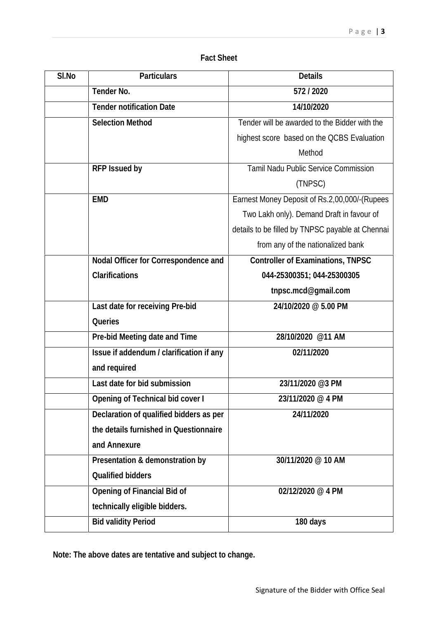## **Fact Sheet**

| SI.No | <b>Particulars</b>                      | <b>Details</b>                                   |
|-------|-----------------------------------------|--------------------------------------------------|
|       | <b>Tender No.</b>                       | 572/2020                                         |
|       | <b>Tender notification Date</b>         | 14/10/2020                                       |
|       | <b>Selection Method</b>                 | Tender will be awarded to the Bidder with the    |
|       |                                         | highest score based on the QCBS Evaluation       |
|       |                                         | Method                                           |
|       | <b>RFP Issued by</b>                    | <b>Tamil Nadu Public Service Commission</b>      |
|       |                                         | (TNPSC)                                          |
|       | <b>EMD</b>                              | Earnest Money Deposit of Rs.2,00,000/-(Rupees    |
|       |                                         | Two Lakh only). Demand Draft in favour of        |
|       |                                         | details to be filled by TNPSC payable at Chennai |
|       |                                         | from any of the nationalized bank                |
|       | Nodal Officer for Correspondence and    | <b>Controller of Examinations, TNPSC</b>         |
|       | <b>Clarifications</b>                   | 044-25300351; 044-25300305                       |
|       |                                         | tnpsc.mcd@gmail.com                              |
|       | Last date for receiving Pre-bid         | 24/10/2020 @5.00 PM                              |
|       | <b>Queries</b>                          |                                                  |
|       | Pre-bid Meeting date and Time           | 28/10/2020 @11 AM                                |
|       | Issue if addendum/clarification if any  | 02/11/2020                                       |
|       | and required                            |                                                  |
|       | Last date for bid submission            | 23/11/2020 @3 PM                                 |
|       | <b>Opening of Technical bid cover I</b> | 23/11/2020 @4 PM                                 |
|       | Declaration of qualified bidders as per | 24/11/2020                                       |
|       | the details furnished in Questionnaire  |                                                  |
|       | and Annexure                            |                                                  |
|       | Presentation & demonstration by         | 30/11/2020 @ 10 AM                               |
|       | <b>Qualified bidders</b>                |                                                  |
|       | <b>Opening of Financial Bid of</b>      | 02/12/2020 @4 PM                                 |
|       | technically eligible bidders.           |                                                  |
|       | <b>Bid validity Period</b>              | 180 days                                         |
|       |                                         |                                                  |

**Note: The above dates are tentative and subject to change.**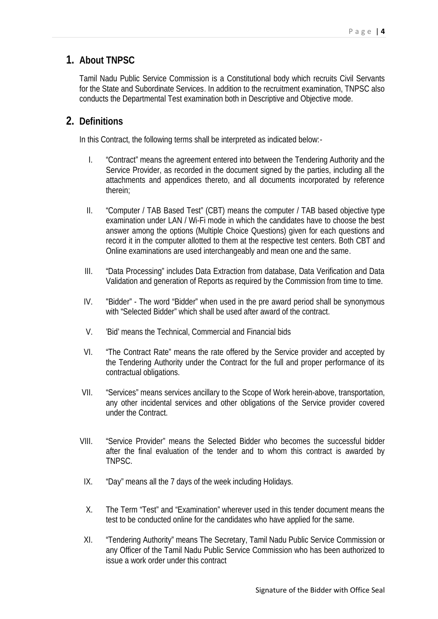# **1. About TNPSC**

Tamil Nadu Public Service Commission is a Constitutional body which recruits Civil Servants for the State and Subordinate Services. In addition to the recruitment examination, TNPSC also conducts the Departmental Test examination both in Descriptive and Objective mode.

# **2. Definitions**

In this Contract, the following terms shall be interpreted as indicated below:-

- I. "Contract" means the agreement entered into between the Tendering Authority and the Service Provider, as recorded in the document signed by the parties, including all the attachments and appendices thereto, and all documents incorporated by reference therein;
- II. "Computer / TAB Based Test" (CBT) means the computer / TAB based objective type examination under LAN / Wi-Fi mode in which the candidates have to choose the best answer among the options (Multiple Choice Questions) given for each questions and record it in the computer allotted to them at the respective test centers. Both CBT and Online examinations are used interchangeably and mean one and the same.
- III. "Data Processing" includes Data Extraction from database, Data Verification and Data Validation and generation of Reports as required by the Commission from time to time.
- IV. "Bidder" The word "Bidder" when used in the pre award period shall be synonymous with "Selected Bidder" which shall be used after award of the contract.
- V. 'Bid' means the Technical, Commercial and Financial bids
- VI. "The Contract Rate" means the rate offered by the Service provider and accepted by the Tendering Authority under the Contract for the full and proper performance of its contractual obligations.
- VII. "Services" means services ancillary to the Scope of Work herein-above, transportation, any other incidental services and other obligations of the Service provider covered under the Contract.
- VIII. "Service Provider" means the Selected Bidder who becomes the successful bidder after the final evaluation of the tender and to whom this contract is awarded by TNPSC.
- IX. "Day" means all the 7 days of the week including Holidays.
- X. The Term "Test" and "Examination" wherever used in this tender document means the test to be conducted online for the candidates who have applied for the same.
- XI. "Tendering Authority" means The Secretary, Tamil Nadu Public Service Commission or any Officer of the Tamil Nadu Public Service Commission who has been authorized to issue a work order under this contract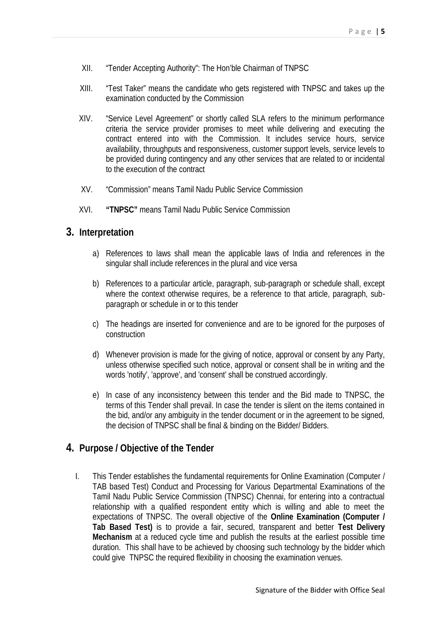- XII. "Tender Accepting Authority": The Hon'ble Chairman of TNPSC
- XIII. "Test Taker" means the candidate who gets registered with TNPSC and takes up the examination conducted by the Commission
- XIV. "Service Level Agreement" or shortly called SLA refers to the minimum performance criteria the service provider promises to meet while delivering and executing the contract entered into with the Commission. It includes service hours, service availability, throughputs and responsiveness, customer support levels, service levels to be provided during contingency and any other services that are related to or incidental to the execution of the contract
- XV. "Commission" means Tamil Nadu Public Service Commission
- XVI. **"TNPSC"** means Tamil Nadu Public Service Commission

## **3. Interpretation**

- a) References to laws shall mean the applicable laws of India and references in the singular shall include references in the plural and vice versa
- b) References to a particular article, paragraph, sub-paragraph or schedule shall, except where the context otherwise requires, be a reference to that article, paragraph, subparagraph or schedule in or to this tender
- c) The headings are inserted for convenience and are to be ignored for the purposes of construction
- d) Whenever provision is made for the giving of notice, approval or consent by any Party, unless otherwise specified such notice, approval or consent shall be in writing and the words 'notify', 'approve', and 'consent' shall be construed accordingly.
- e) In case of any inconsistency between this tender and the Bid made to TNPSC, the terms of this Tender shall prevail. In case the tender is silent on the items contained in the bid, and/or any ambiguity in the tender document or in the agreement to be signed, the decision of TNPSC shall be final & binding on the Bidder/ Bidders.

## **4. Purpose / Objective of the Tender**

I. This Tender establishes the fundamental requirements for Online Examination (Computer / TAB based Test) Conduct and Processing for Various Departmental Examinations of the Tamil Nadu Public Service Commission (TNPSC) Chennai, for entering into a contractual relationship with a qualified respondent entity which is willing and able to meet the expectations of TNPSC. The overall objective of the **Online Examination (Computer / Tab Based Test)** is to provide a fair, secured, transparent and better **Test Delivery Mechanism** at a reduced cycle time and publish the results at the earliest possible time duration. This shall have to be achieved by choosing such technology by the bidder which could give TNPSC the required flexibility in choosing the examination venues.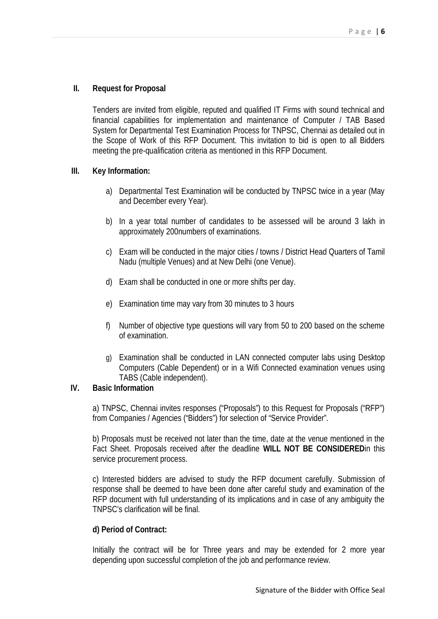### **II. Request for Proposal**

Tenders are invited from eligible, reputed and qualified IT Firms with sound technical and financial capabilities for implementation and maintenance of Computer / TAB Based System for Departmental Test Examination Process for TNPSC, Chennai as detailed out in the Scope of Work of this RFP Document. This invitation to bid is open to all Bidders meeting the pre-qualification criteria as mentioned in this RFP Document.

#### **III. Key Information:**

- a) Departmental Test Examination will be conducted by TNPSC twice in a year (May and December every Year).
- b) In a year total number of candidates to be assessed will be around 3 lakh in approximately 200numbers of examinations.
- c) Exam will be conducted in the major cities / towns / District Head Quarters of Tamil Nadu (multiple Venues) and at New Delhi (one Venue).
- d) Exam shall be conducted in one or more shifts per day.
- e) Examination time may vary from 30 minutes to 3 hours
- f) Number of objective type questions will vary from 50 to 200 based on the scheme of examination.
- g) Examination shall be conducted in LAN connected computer labs using Desktop Computers (Cable Dependent) or in a Wifi Connected examination venues using TABS (Cable independent).

### **IV. Basic Information**

a) TNPSC, Chennai invites responses ("Proposals") to this Request for Proposals ("RFP") from Companies / Agencies ("Bidders") for selection of "Service Provider".

b) Proposals must be received not later than the time, date at the venue mentioned in the Fact Sheet. Proposals received after the deadline **WILL NOT BE CONSIDERED**in this service procurement process.

c) Interested bidders are advised to study the RFP document carefully. Submission of response shall be deemed to have been done after careful study and examination of the RFP document with full understanding of its implications and in case of any ambiguity the TNPSC's clarification will be final.

### **d) Period of Contract:**

Initially the contract will be for Three years and may be extended for 2 more year depending upon successful completion of the job and performance review.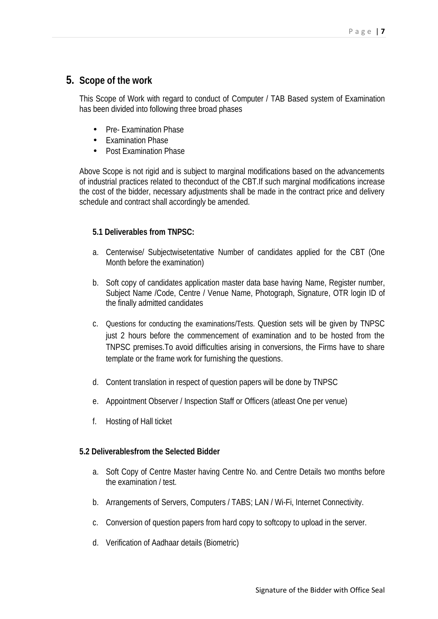# **5. Scope of the work**

This Scope of Work with regard to conduct of Computer / TAB Based system of Examination has been divided into following three broad phases

- Pre- Examination Phase
- Examination Phase
- Post Examination Phase

Above Scope is not rigid and is subject to marginal modifications based on the advancements of industrial practices related to theconduct of the CBT.If such marginal modifications increase the cost of the bidder, necessary adjustments shall be made in the contract price and delivery schedule and contract shall accordingly be amended.

### **5.1 Deliverables from TNPSC:**

- a. Centerwise/ Subjectwisetentative Number of candidates applied for the CBT (One Month before the examination)
- b. Soft copy of candidates application master data base having Name, Register number, Subject Name /Code, Centre / Venue Name, Photograph, Signature, OTR login ID of the finally admitted candidates
- c. Questions for conducting the examinations/Tests. Question sets will be given by TNPSC just 2 hours before the commencement of examination and to be hosted from the TNPSC premises.To avoid difficulties arising in conversions, the Firms have to share template or the frame work for furnishing the questions.
- d. Content translation in respect of question papers will be done by TNPSC
- e. Appointment Observer / Inspection Staff or Officers (atleast One per venue)
- f. Hosting of Hall ticket

### **5.2 Deliverablesfrom the Selected Bidder**

- a. Soft Copy of Centre Master having Centre No. and Centre Details two months before the examination / test.
- b. Arrangements of Servers, Computers / TABS; LAN / Wi-Fi, Internet Connectivity.
- c. Conversion of question papers from hard copy to softcopy to upload in the server.
- d. Verification of Aadhaar details (Biometric)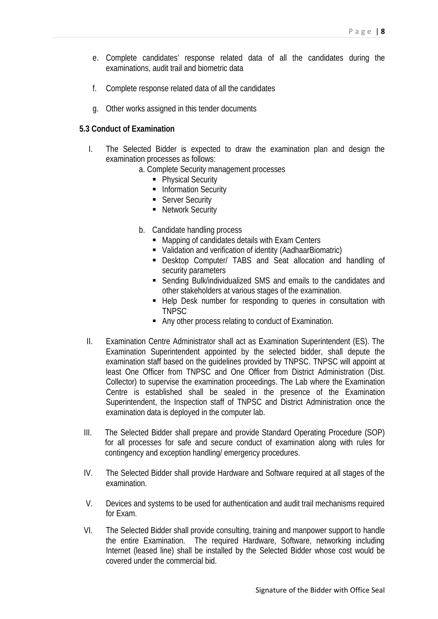- e. Complete candidates' response related data of all the candidates during the examinations, audit trail and biometric data
- f. Complete response related data of all the candidates
- g. Other works assigned in this tender documents

#### **5.3 Conduct of Examination**

- I. The Selected Bidder is expected to draw the examination plan and design the examination processes as follows:
	- a. Complete Security management processes
		- Physical Security
			- **Information Security**
			- **Server Security**
			- Network Security
	- b. Candidate handling process
		- **Napping of candidates details with Exam Centers**
		- Validation and verification of identity (AadhaarBiomatric)
		- Desktop Computer/ TABS and Seat allocation and handling of security parameters
		- Sending Bulk/individualized SMS and emails to the candidates and other stakeholders at various stages of the examination.
		- **-** Help Desk number for responding to queries in consultation with TNPSC
		- **Any other process relating to conduct of Examination.**
- II. Examination Centre Administrator shall act as Examination Superintendent (ES). The Examination Superintendent appointed by the selected bidder, shall depute the examination staff based on the guidelines provided by TNPSC. TNPSC will appoint at least One Officer from TNPSC and One Officer from District Administration (Dist. Collector) to supervise the examination proceedings. The Lab where the Examination Centre is established shall be sealed in the presence of the Examination Superintendent, the Inspection staff of TNPSC and District Administration once the examination data is deployed in the computer lab.
- III. The Selected Bidder shall prepare and provide Standard Operating Procedure (SOP) for all processes for safe and secure conduct of examination along with rules for contingency and exception handling/ emergency procedures.
- IV. The Selected Bidder shall provide Hardware and Software required at all stages of the examination.
- V. Devices and systems to be used for authentication and audit trail mechanisms required for Exam.
- VI. The Selected Bidder shall provide consulting, training and manpower support to handle the entire Examination. The required Hardware, Software, networking including Internet (leased line) shall be installed by the Selected Bidder whose cost would be covered under the commercial bid.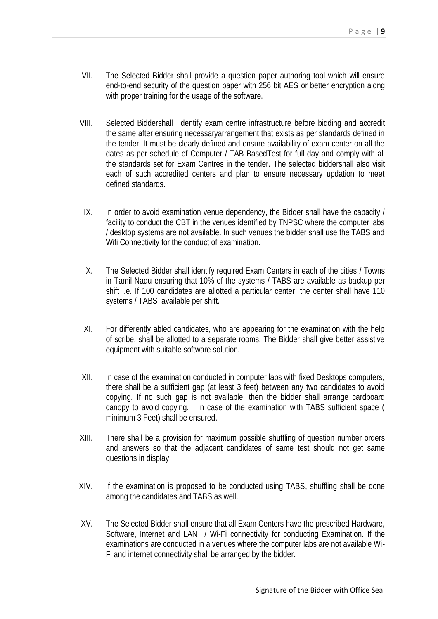- VII. The Selected Bidder shall provide a question paper authoring tool which will ensure end-to-end security of the question paper with 256 bit AES or better encryption along with proper training for the usage of the software.
- VIII. Selected Biddershall identify exam centre infrastructure before bidding and accredit the same after ensuring necessaryarrangement that exists as per standards defined in the tender. It must be clearly defined and ensure availability of exam center on all the dates as per schedule of Computer / TAB BasedTest for full day and comply with all the standards set for Exam Centres in the tender. The selected biddershall also visit each of such accredited centers and plan to ensure necessary updation to meet defined standards.
- IX. In order to avoid examination venue dependency, the Bidder shall have the capacity / facility to conduct the CBT in the venues identified by TNPSC where the computer labs / desktop systems are not available. In such venues the bidder shall use the TABS and Wifi Connectivity for the conduct of examination.
- X. The Selected Bidder shall identify required Exam Centers in each of the cities / Towns in Tamil Nadu ensuring that 10% of the systems / TABS are available as backup per shift i.e. If 100 candidates are allotted a particular center, the center shall have 110 systems / TABS available per shift.
- XI. For differently abled candidates, who are appearing for the examination with the help of scribe, shall be allotted to a separate rooms. The Bidder shall give better assistive equipment with suitable software solution.
- XII. In case of the examination conducted in computer labs with fixed Desktops computers, there shall be a sufficient gap (at least 3 feet) between any two candidates to avoid copying. If no such gap is not available, then the bidder shall arrange cardboard canopy to avoid copying. In case of the examination with TABS sufficient space ( minimum 3 Feet) shall be ensured.
- XIII. There shall be a provision for maximum possible shuffling of question number orders and answers so that the adjacent candidates of same test should not get same questions in display.
- XIV. If the examination is proposed to be conducted using TABS, shuffling shall be done among the candidates and TABS as well.
- XV. The Selected Bidder shall ensure that all Exam Centers have the prescribed Hardware, Software, Internet and LAN / Wi-Fi connectivity for conducting Examination. If the examinations are conducted in a venues where the computer labs are not available Wi- Fi and internet connectivity shall be arranged by the bidder.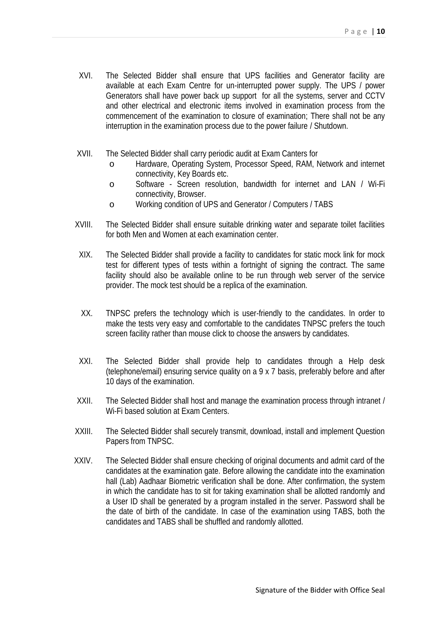- XVI. The Selected Bidder shall ensure that UPS facilities and Generator facility are available at each Exam Centre for un-interrupted power supply. The UPS / power Generators shall have power back up support for all the systems, server and CCTV and other electrical and electronic items involved in examination process from the commencement of the examination to closure of examination; There shall not be any interruption in the examination process due to the power failure / Shutdown.
- XVII. The Selected Bidder shall carry periodic audit at Exam Canters for
	- o Hardware, Operating System, Processor Speed, RAM, Network and internet connectivity, Key Boards etc.
	- o Software Screen resolution, bandwidth for internet and LAN / Wi-Fi connectivity, Browser.
	- o Working condition of UPS and Generator / Computers / TABS
- XVIII. The Selected Bidder shall ensure suitable drinking water and separate toilet facilities for both Men and Women at each examination center.
- XIX. The Selected Bidder shall provide a facility to candidates for static mock link for mock test for different types of tests within a fortnight of signing the contract. The same facility should also be available online to be run through web server of the service provider. The mock test should be a replica of the examination.
- XX. TNPSC prefers the technology which is user-friendly to the candidates. In order to make the tests very easy and comfortable to the candidates TNPSC prefers the touch screen facility rather than mouse click to choose the answers by candidates.
- XXI. The Selected Bidder shall provide help to candidates through a Help desk (telephone/email) ensuring service quality on a 9 x 7 basis, preferably before and after 10 days of the examination.
- XXII. The Selected Bidder shall host and manage the examination process through intranet / Wi-Fi based solution at Exam Centers.
- XXIII. The Selected Bidder shall securely transmit, download, install and implement Question Papers from TNPSC.
- XXIV. The Selected Bidder shall ensure checking of original documents and admit card of the candidates at the examination gate. Before allowing the candidate into the examination hall (Lab) Aadhaar Biometric verification shall be done. After confirmation, the system in which the candidate has to sit for taking examination shall be allotted randomly and a User ID shall be generated by a program installed in the server. Password shall be the date of birth of the candidate. In case of the examination using TABS, both the candidates and TABS shall be shuffled and randomly allotted.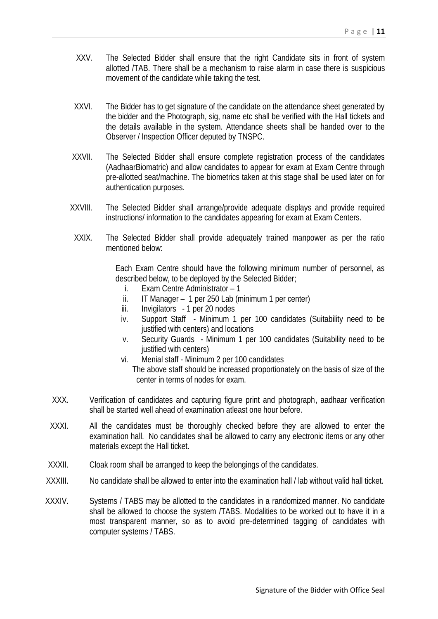- XXV. The Selected Bidder shall ensure that the right Candidate sits in front of system allotted /TAB. There shall be a mechanism to raise alarm in case there is suspicious movement of the candidate while taking the test.
- XXVI. The Bidder has to get signature of the candidate on the attendance sheet generated by the bidder and the Photograph, sig, name etc shall be verified with the Hall tickets and the details available in the system. Attendance sheets shall be handed over to the Observer / Inspection Officer deputed by TNSPC.
- XXVII. The Selected Bidder shall ensure complete registration process of the candidates (AadhaarBiomatric) and allow candidates to appear for exam at Exam Centre through pre-allotted seat/machine. The biometrics taken at this stage shall be used later on for authentication purposes.
- XXVIII. The Selected Bidder shall arrange/provide adequate displays and provide required instructions/ information to the candidates appearing for exam at Exam Centers.
- XXIX. The Selected Bidder shall provide adequately trained manpower as per the ratio mentioned below:

Each Exam Centre should have the following minimum number of personnel, as described below, to be deployed by the Selected Bidder;

- i. Exam Centre Administrator 1
- ii. IT Manager 1 per 250 Lab (minimum 1 per center)
- iii. Invigilators 1 per 20 nodes
- iv. Support Staff Minimum 1 per 100 candidates (Suitability need to be justified with centers) and locations
- v. Security Guards Minimum 1 per 100 candidates (Suitability need to be justified with centers)
- vi. Menial staff Minimum 2 per 100 candidates
	- The above staff should be increased proportionately on the basis of size of the center in terms of nodes for exam.
- XXX. Verification of candidates and capturing figure print and photograph, aadhaar verification shall be started well ahead of examination atleast one hour before.
- XXXI. All the candidates must be thoroughly checked before they are allowed to enter the examination hall. No candidates shall be allowed to carry any electronic items or any other materials except the Hall ticket.
- XXXII. Cloak room shall be arranged to keep the belongings of the candidates.
- XXXIII. No candidate shall be allowed to enter into the examination hall / lab without valid hall ticket.
- XXXIV. Systems / TABS may be allotted to the candidates in a randomized manner. No candidate shall be allowed to choose the system /TABS. Modalities to be worked out to have it in a most transparent manner, so as to avoid pre-determined tagging of candidates with computer systems / TABS.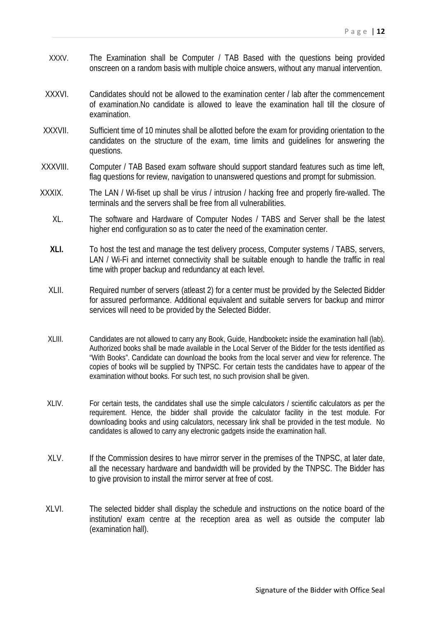- XXXV. The Examination shall be Computer / TAB Based with the questions being provided onscreen on a random basis with multiple choice answers, without any manual intervention.
- XXXVI. Candidates should not be allowed to the examination center / lab after the commencement of examination.No candidate is allowed to leave the examination hall till the closure of examination.
- XXXVII. Sufficient time of 10 minutes shall be allotted before the exam for providing orientation to the candidates on the structure of the exam, time limits and guidelines for answering the questions.
- XXXVIII. Computer / TAB Based exam software should support standard features such as time left, flag questions for review, navigation to unanswered questions and prompt for submission.
- XXXIX. The LAN / Wi-fiset up shall be virus / intrusion / hacking free and properly fire-walled. The terminals and the servers shall be free from all vulnerabilities.
	- XL. The software and Hardware of Computer Nodes / TABS and Server shall be the latest higher end configuration so as to cater the need of the examination center.
	- **XLI.** To host the test and manage the test delivery process, Computer systems / TABS, servers, LAN / Wi-Fi and internet connectivity shall be suitable enough to handle the traffic in real time with proper backup and redundancy at each level.
	- XLII. Required number of servers (atleast 2) for a center must be provided by the Selected Bidder for assured performance. Additional equivalent and suitable servers for backup and mirror services will need to be provided by the Selected Bidder.
	- XLIII. Candidates are not allowed to carry any Book, Guide, Handbooketc inside the examination hall (lab). Authorized books shall be made available in the Local Server of the Bidder for the tests identified as "With Books". Candidate can download the books from the local server and view for reference. The copies of books will be supplied by TNPSC. For certain tests the candidates have to appear of the examination without books. For such test, no such provision shall be given.
	- XLIV. For certain tests, the candidates shall use the simple calculators / scientific calculators as per the requirement. Hence, the bidder shall provide the calculator facility in the test module. For downloading books and using calculators, necessary link shall be provided in the test module. No candidates is allowed to carry any electronic gadgets inside the examination hall.
	- XLV. If the Commission desires to have mirror server in the premises of the TNPSC, at later date, all the necessary hardware and bandwidth will be provided by the TNPSC. The Bidder has to give provision to install the mirror server at free of cost.
	- XLVI. The selected bidder shall display the schedule and instructions on the notice board of the institution/ exam centre at the reception area as well as outside the computer lab (examination hall).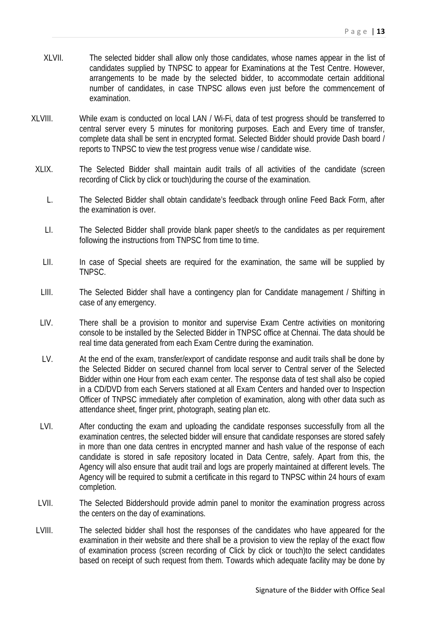- XLVII. The selected bidder shall allow only those candidates, whose names appear in the list of candidates supplied by TNPSC to appear for Examinations at the Test Centre. However, arrangements to be made by the selected bidder, to accommodate certain additional number of candidates, in case TNPSC allows even just before the commencement of examination.
- XLVIII. While exam is conducted on local LAN / Wi-Fi, data of test progress should be transferred to central server every 5 minutes for monitoring purposes. Each and Every time of transfer, complete data shall be sent in encrypted format. Selected Bidder should provide Dash board / reports to TNPSC to view the test progress venue wise / candidate wise.
	- XLIX. The Selected Bidder shall maintain audit trails of all activities of the candidate (screen recording of Click by click or touch)during the course of the examination.
		- L. The Selected Bidder shall obtain candidate's feedback through online Feed Back Form, after the examination is over.
		- LI. The Selected Bidder shall provide blank paper sheet/s to the candidates as per requirement following the instructions from TNPSC from time to time.
		- LII. In case of Special sheets are required for the examination, the same will be supplied by TNPSC.
		- LIII. The Selected Bidder shall have a contingency plan for Candidate management / Shifting in case of any emergency.
		- LIV. There shall be a provision to monitor and supervise Exam Centre activities on monitoring console to be installed by the Selected Bidder in TNPSC office at Chennai. The data should be real time data generated from each Exam Centre during the examination.
		- LV. At the end of the exam, transfer/export of candidate response and audit trails shall be done by the Selected Bidder on secured channel from local server to Central server of the Selected Bidder within one Hour from each exam center. The response data of test shall also be copied in a CD/DVD from each Servers stationed at all Exam Centers and handed over to Inspection Officer of TNPSC immediately after completion of examination, along with other data such as attendance sheet, finger print, photograph, seating plan etc.
	- LVI. After conducting the exam and uploading the candidate responses successfully from all the examination centres, the selected bidder will ensure that candidate responses are stored safely in more than one data centres in encrypted manner and hash value of the response of each candidate is stored in safe repository located in Data Centre, safely. Apart from this, the Agency will also ensure that audit trail and logs are properly maintained at different levels. The Agency will be required to submit a certificate in this regard to TNPSC within 24 hours of exam completion.
	- LVII. The Selected Biddershould provide admin panel to monitor the examination progress across the centers on the day of examinations.
	- LVIII. The selected bidder shall host the responses of the candidates who have appeared for the examination in their website and there shall be a provision to view the replay of the exact flow of examination process (screen recording of Click by click or touch)to the select candidates based on receipt of such request from them. Towards which adequate facility may be done by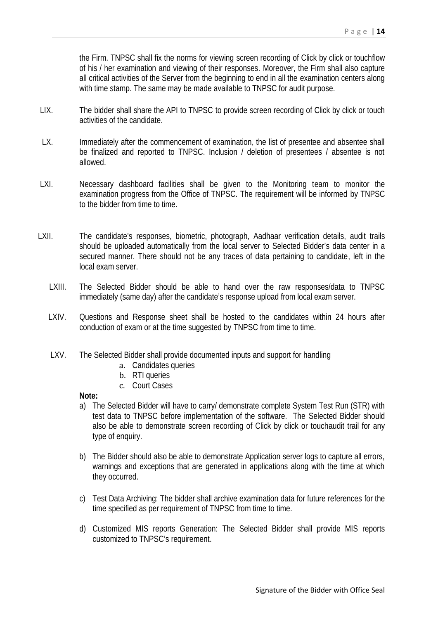the Firm. TNPSC shall fix the norms for viewing screen recording of Click by click or touchflow of his / her examination and viewing of their responses. Moreover, the Firm shall also capture all critical activities of the Server from the beginning to end in all the examination centers along with time stamp. The same may be made available to TNPSC for audit purpose.

- LIX. The bidder shall share the API to TNPSC to provide screen recording of Click by click or touch activities of the candidate.
- LX. Immediately after the commencement of examination, the list of presentee and absentee shall be finalized and reported to TNPSC. Inclusion / deletion of presentees / absentee is not allowed.
- LXI. Necessary dashboard facilities shall be given to the Monitoring team to monitor the examination progress from the Office of TNPSC. The requirement will be informed by TNPSC to the bidder from time to time.
- LXII. The candidate's responses, biometric, photograph, Aadhaar verification details, audit trails should be uploaded automatically from the local server to Selected Bidder's data center in a secured manner. There should not be any traces of data pertaining to candidate, left in the local exam server.
	- LXIII. The Selected Bidder should be able to hand over the raw responses/data to TNPSC immediately (same day) after the candidate's response upload from local exam server.
	- LXIV. Questions and Response sheet shall be hosted to the candidates within 24 hours after conduction of exam or at the time suggested by TNPSC from time to time.
	- LXV. The Selected Bidder shall provide documented inputs and support for handling
		- a. Candidates queries
		- b. RTI queries
		- c. Court Cases

#### **Note:**

- a) The Selected Bidder will have to carry/ demonstrate complete System Test Run (STR) with test data to TNPSC before implementation of the software. The Selected Bidder should also be able to demonstrate screen recording of Click by click or touchaudit trail for any type of enquiry.
- b) The Bidder should also be able to demonstrate Application server logs to capture all errors, warnings and exceptions that are generated in applications along with the time at which they occurred.
- c) Test Data Archiving: The bidder shall archive examination data for future references for the time specified as per requirement of TNPSC from time to time.
- d) Customized MIS reports Generation: The Selected Bidder shall provide MIS reports customized to TNPSC's requirement.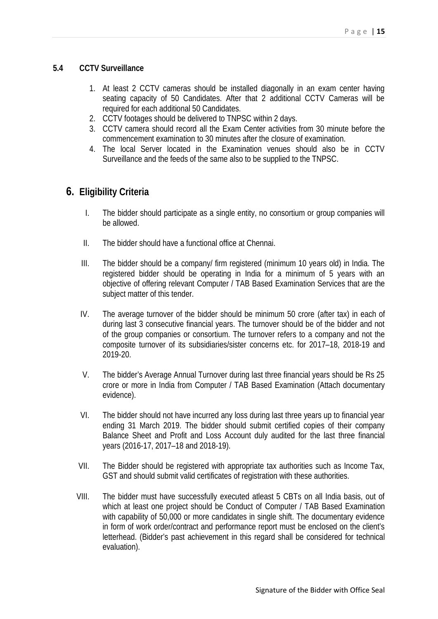#### **5.4 CCTV Surveillance**

- 1. At least 2 CCTV cameras should be installed diagonally in an exam center having seating capacity of 50 Candidates. After that 2 additional CCTV Cameras will be required for each additional 50 Candidates.
- 2. CCTV footages should be delivered to TNPSC within 2 days.
- 3. CCTV camera should record all the Exam Center activities from 30 minute before the commencement examination to 30 minutes after the closure of examination.
- 4. The local Server located in the Examination venues should also be in CCTV Surveillance and the feeds of the same also to be supplied to the TNPSC.

## **6. Eligibility Criteria**

- I. The bidder should participate as a single entity, no consortium or group companies will be allowed.
- II. The bidder should have a functional office at Chennai.
- III. The bidder should be a company/ firm registered (minimum 10 years old) in India. The registered bidder should be operating in India for a minimum of 5 years with an objective of offering relevant Computer / TAB Based Examination Services that are the subject matter of this tender.
- IV. The average turnover of the bidder should be minimum 50 crore (after tax) in each of during last 3 consecutive financial years. The turnover should be of the bidder and not of the group companies or consortium. The turnover refers to a company and not the composite turnover of its subsidiaries/sister concerns etc. for 2017–18, 2018-19 and 2019-20.
- V. The bidder's Average Annual Turnover during last three financial years should be Rs 25 crore or more in India from Computer / TAB Based Examination (Attach documentary evidence).
- VI. The bidder should not have incurred any loss during last three years up to financial year ending 31 March 2019. The bidder should submit certified copies of their company Balance Sheet and Profit and Loss Account duly audited for the last three financial years (2016-17, 2017–18 and 2018-19).
- VII. The Bidder should be registered with appropriate tax authorities such as Income Tax, GST and should submit valid certificates of registration with these authorities.
- VIII. The bidder must have successfully executed atleast 5 CBTs on all India basis, out of which at least one project should be Conduct of Computer / TAB Based Examination with capability of 50,000 or more candidates in single shift. The documentary evidence in form of work order/contract and performance report must be enclosed on the client's letterhead. (Bidder's past achievement in this regard shall be considered for technical evaluation).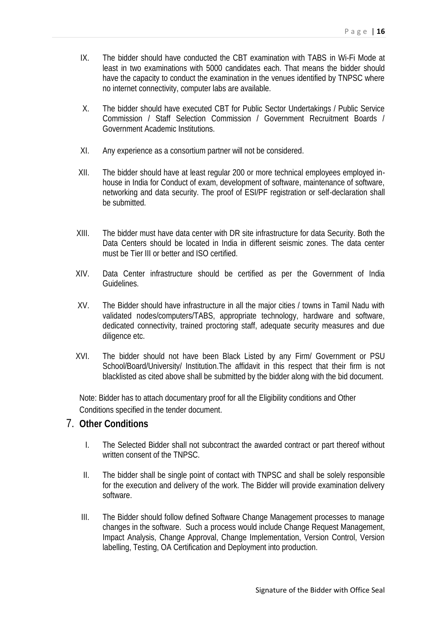- IX. The bidder should have conducted the CBT examination with TABS in Wi-Fi Mode at least in two examinations with 5000 candidates each. That means the bidder should have the capacity to conduct the examination in the venues identified by TNPSC where no internet connectivity, computer labs are available.
- X. The bidder should have executed CBT for Public Sector Undertakings / Public Service Commission / Staff Selection Commission / Government Recruitment Boards / Government Academic Institutions.
- XI. Any experience as a consortium partner will not be considered.
- XII. The bidder should have at least regular 200 or more technical employees employed in house in India for Conduct of exam, development of software, maintenance of software, networking and data security. The proof of ESI/PF registration or self-declaration shall be submitted.
- XIII. The bidder must have data center with DR site infrastructure for data Security. Both the Data Centers should be located in India in different seismic zones. The data center must be Tier III or better and ISO certified.
- XIV. Data Center infrastructure should be certified as per the Government of India Guidelines.
- XV. The Bidder should have infrastructure in all the major cities / towns in Tamil Nadu with validated nodes/computers/TABS, appropriate technology, hardware and software, dedicated connectivity, trained proctoring staff, adequate security measures and due diligence etc.
- XVI. The bidder should not have been Black Listed by any Firm/ Government or PSU School/Board/University/ Institution. The affidavit in this respect that their firm is not blacklisted as cited above shall be submitted by the bidder along with the bid document.

Note: Bidder has to attach documentary proof for all the Eligibility conditions and Other Conditions specified in the tender document.

# 7. **Other Conditions**

- I. The Selected Bidder shall not subcontract the awarded contract or part thereof without written consent of the TNPSC.
- II. The bidder shall be single point of contact with TNPSC and shall be solely responsible for the execution and delivery of the work. The Bidder will provide examination delivery software.
- III. The Bidder should follow defined Software Change Management processes to manage changes in the software. Such a process would include Change Request Management, Impact Analysis, Change Approval, Change Implementation, Version Control, Version labelling, Testing, OA Certification and Deployment into production.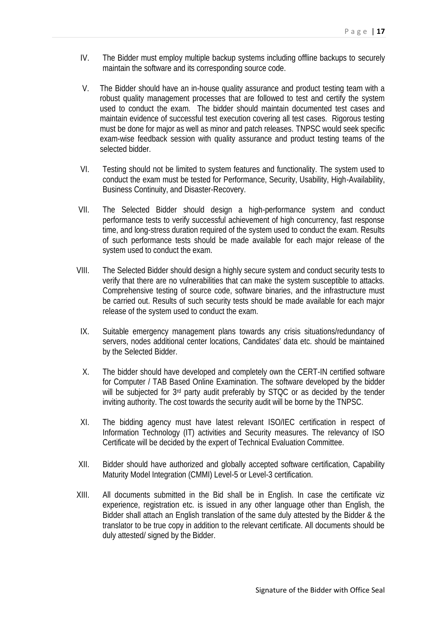- IV. The Bidder must employ multiple backup systems including offline backups to securely maintain the software and its corresponding source code.
- V. The Bidder should have an in-house quality assurance and product testing team with a robust quality management processes that are followed to test and certify the system used to conduct the exam. The bidder should maintain documented test cases and maintain evidence of successful test execution covering all test cases. Rigorous testing must be done for major as well as minor and patch releases. TNPSC would seek specific exam-wise feedback session with quality assurance and product testing teams of the selected bidder.
- VI. Testing should not be limited to system features and functionality. The system used to conduct the exam must be tested for Performance, Security, Usability, High-Availability, Business Continuity, and Disaster-Recovery.
- VII. The Selected Bidder should design a high-performance system and conduct performance tests to verify successful achievement of high concurrency, fast response time, and long-stress duration required of the system used to conduct the exam. Results of such performance tests should be made available for each major release of the system used to conduct the exam.
- VIII. The Selected Bidder should design a highly secure system and conduct security tests to verify that there are no vulnerabilities that can make the system susceptible to attacks. Comprehensive testing of source code, software binaries, and the infrastructure must be carried out. Results of such security tests should be made available for each major release of the system used to conduct the exam.
- IX. Suitable emergency management plans towards any crisis situations/redundancy of servers, nodes additional center locations, Candidates' data etc. should be maintained by the Selected Bidder.
- X. The bidder should have developed and completely own the CERT-IN certified software for Computer / TAB Based Online Examination. The software developed by the bidder will be subjected for 3<sup>rd</sup> party audit preferably by STQC or as decided by the tender inviting authority. The cost towards the security audit will be borne by the TNPSC.
- XI. The bidding agency must have latest relevant ISO/IEC certification in respect of Information Technology (IT) activities and Security measures. The relevancy of ISO Certificate will be decided by the expert of Technical Evaluation Committee.
- XII. Bidder should have authorized and globally accepted software certification, Capability Maturity Model Integration (CMMI) Level-5 or Level-3 certification.
- XIII. All documents submitted in the Bid shall be in English. In case the certificate viz experience, registration etc. is issued in any other language other than English, the Bidder shall attach an English translation of the same duly attested by the Bidder & the translator to be true copy in addition to the relevant certificate. All documents should be duly attested/ signed by the Bidder.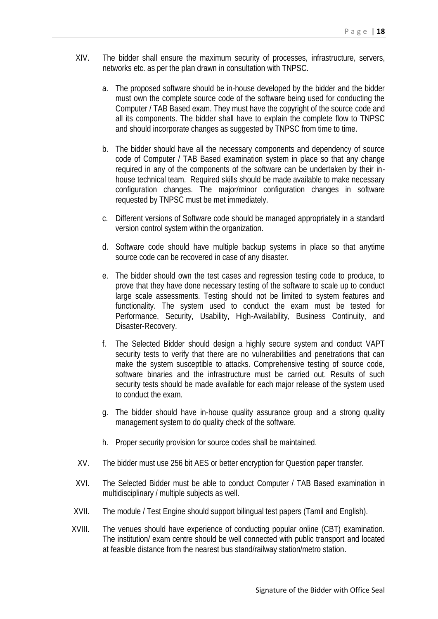- XIV. The bidder shall ensure the maximum security of processes, infrastructure, servers, networks etc. as per the plan drawn in consultation with TNPSC.
	- a. The proposed software should be in-house developed by the bidder and the bidder must own the complete source code of the software being used for conducting the Computer / TAB Based exam. They must have the copyright of the source code and all its components. The bidder shall have to explain the complete flow to TNPSC and should incorporate changes as suggested by TNPSC from time to time.
	- b. The bidder should have all the necessary components and dependency of source code of Computer / TAB Based examination system in place so that any change required in any of the components of the software can be undertaken by their in house technical team. Required skills should be made available to make necessary configuration changes. The major/minor configuration changes in software requested by TNPSC must be met immediately.
	- c. Different versions of Software code should be managed appropriately in a standard version control system within the organization.
	- d. Software code should have multiple backup systems in place so that anytime source code can be recovered in case of any disaster.
	- e. The bidder should own the test cases and regression testing code to produce, to prove that they have done necessary testing of the software to scale up to conduct large scale assessments. Testing should not be limited to system features and functionality. The system used to conduct the exam must be tested for Performance, Security, Usability, High-Availability, Business Continuity, and Disaster-Recovery.
	- f. The Selected Bidder should design a highly secure system and conduct VAPT security tests to verify that there are no vulnerabilities and penetrations that can make the system susceptible to attacks. Comprehensive testing of source code, software binaries and the infrastructure must be carried out. Results of such security tests should be made available for each major release of the system used to conduct the exam.
	- g. The bidder should have in-house quality assurance group and a strong quality management system to do quality check of the software.
	- h. Proper security provision for source codes shall be maintained.
- XV. The bidder must use 256 bit AES or better encryption for Question paper transfer.
- XVI. The Selected Bidder must be able to conduct Computer / TAB Based examination in multidisciplinary / multiple subjects as well.
- XVII. The module / Test Engine should support bilingual test papers (Tamil and English).
- XVIII. The venues should have experience of conducting popular online (CBT) examination. The institution/ exam centre should be well connected with public transport and located at feasible distance from the nearest bus stand/railway station/metro station.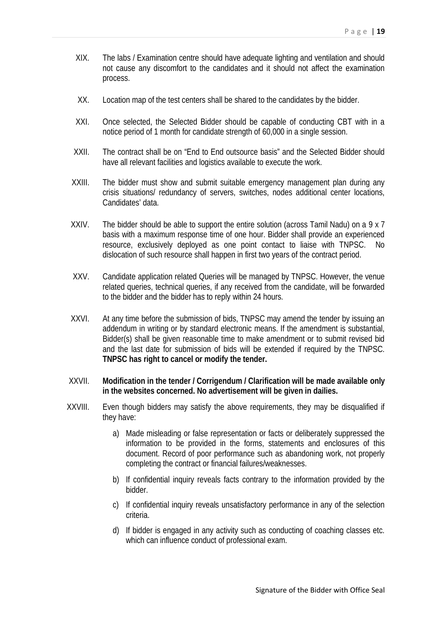- XIX. The labs / Examination centre should have adequate lighting and ventilation and should not cause any discomfort to the candidates and it should not affect the examination process.
- XX. Location map of the test centers shall be shared to the candidates by the bidder.
- XXI. Once selected, the Selected Bidder should be capable of conducting CBT with in a notice period of 1 month for candidate strength of 60,000 in a single session.
- XXII. The contract shall be on "End to End outsource basis" and the Selected Bidder should have all relevant facilities and logistics available to execute the work.
- XXIII. The bidder must show and submit suitable emergency management plan during any crisis situations/ redundancy of servers, switches, nodes additional center locations, Candidates' data.
- XXIV. The bidder should be able to support the entire solution (across Tamil Nadu) on a 9 x 7 basis with a maximum response time of one hour. Bidder shall provide an experienced resource, exclusively deployed as one point contact to liaise with TNPSC. No dislocation of such resource shall happen in first two years of the contract period.
- XXV. Candidate application related Queries will be managed by TNPSC. However, the venue related queries, technical queries, if any received from the candidate, will be forwarded to the bidder and the bidder has to reply within 24 hours.
- XXVI. At any time before the submission of bids, TNPSC may amend the tender by issuing an addendum in writing or by standard electronic means. If the amendment is substantial, Bidder(s) shall be given reasonable time to make amendment or to submit revised bid and the last date for submission of bids will be extended if required by the TNPSC. **TNPSC has right to cancel or modify the tender.**
- XXVII. **Modification in the tender / Corrigendum / Clarification will be made available only in the websites concerned. No advertisement will be given in dailies.**
- XXVIII. Even though bidders may satisfy the above requirements, they may be disqualified if they have:
	- a) Made misleading or false representation or facts or deliberately suppressed the information to be provided in the forms, statements and enclosures of this document. Record of poor performance such as abandoning work, not properly completing the contract or financial failures/weaknesses.
	- b) If confidential inquiry reveals facts contrary to the information provided by the bidder.
	- c) If confidential inquiry reveals unsatisfactory performance in any of the selection criteria.
	- d) If bidder is engaged in any activity such as conducting of coaching classes etc. which can influence conduct of professional exam.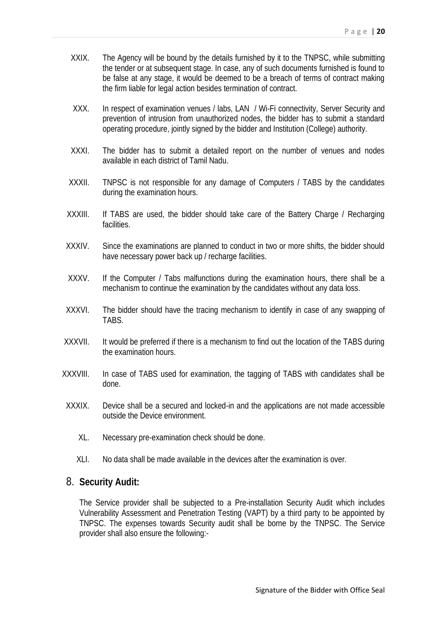- XXIX. The Agency will be bound by the details furnished by it to the TNPSC, while submitting the tender or at subsequent stage. In case, any of such documents furnished is found to be false at any stage, it would be deemed to be a breach of terms of contract making the firm liable for legal action besides termination of contract.
- XXX. In respect of examination venues / labs, LAN / Wi-Fi connectivity, Server Security and prevention of intrusion from unauthorized nodes, the bidder has to submit a standard operating procedure, jointly signed by the bidder and Institution (College) authority.
- XXXI. The bidder has to submit a detailed report on the number of venues and nodes available in each district of Tamil Nadu.
- XXXII. TNPSC is not responsible for any damage of Computers / TABS by the candidates during the examination hours.
- XXXIII. If TABS are used, the bidder should take care of the Battery Charge / Recharging facilities.
- XXXIV. Since the examinations are planned to conduct in two or more shifts, the bidder should have necessary power back up / recharge facilities.
- XXXV. If the Computer / Tabs malfunctions during the examination hours, there shall be a mechanism to continue the examination by the candidates without any data loss.
- XXXVI. The bidder should have the tracing mechanism to identify in case of any swapping of **TARS**
- XXXVII. It would be preferred if there is a mechanism to find out the location of the TABS during the examination hours.
- XXXVIII. In case of TABS used for examination, the tagging of TABS with candidates shall be done.
- XXXIX. Device shall be a secured and locked-in and the applications are not made accessible outside the Device environment.
	- XL. Necessary pre-examination check should be done.
	- XLI. No data shall be made available in the devices after the examination is over.

### 8. **Security Audit:**

The Service provider shall be subjected to a Pre-installation Security Audit which includes Vulnerability Assessment and Penetration Testing (VAPT) by a third party to be appointed by TNPSC. The expenses towards Security audit shall be borne by the TNPSC. The Service provider shall also ensure the following:-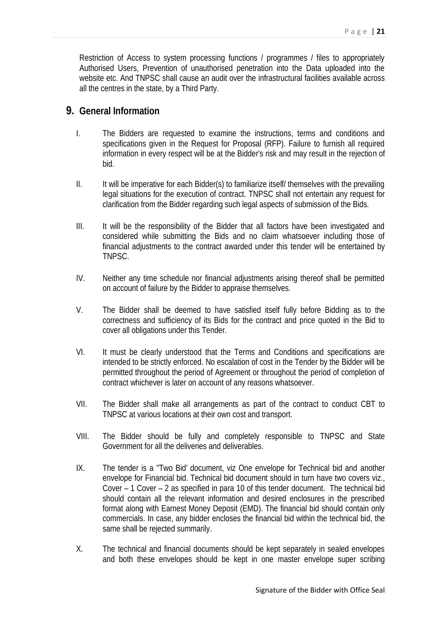Restriction of Access to system processing functions / programmes / files to appropriately Authorised Users, Prevention of unauthorised penetration into the Data uploaded into the website etc. And TNPSC shall cause an audit over the infrastructural facilities available across all the centres in the state, by a Third Party.

### **9. General Information**

- I. The Bidders are requested to examine the instructions, terms and conditions and specifications given in the Request for Proposal (RFP). Failure to furnish all required information in every respect will be at the Bidder's risk and may result in the rejection of bid.
- II. It will be imperative for each Bidder(s) to familiarize itself/ themselves with the prevailing legal situations for the execution of contract. TNPSC shall not entertain any request for clarification from the Bidder regarding such legal aspects of submission of the Bids.
- III. It will be the responsibility of the Bidder that all factors have been investigated and considered while submitting the Bids and no claim whatsoever including those of financial adjustments to the contract awarded under this tender will be entertained by TNPSC.
- IV. Neither any time schedule nor financial adjustments arising thereof shall be permitted on account of failure by the Bidder to appraise themselves.
- V. The Bidder shall be deemed to have satisfied itself fully before Bidding as to the correctness and sufficiency of its Bids for the contract and price quoted in the Bid to cover all obligations under this Tender.
- VI. It must be clearly understood that the Terms and Conditions and specifications are intended to be strictly enforced. No escalation of cost in the Tender by the Bidder will be permitted throughout the period of Agreement or throughout the period of completion of contract whichever is later on account of any reasons whatsoever.
- VII. The Bidder shall make all arrangements as part of the contract to conduct CBT to TNPSC at various locations at their own cost and transport.
- VIII. The Bidder should be fully and completely responsible to TNPSC and State Government for all the deliveries and deliverables.
- IX. The tender is a "Two Bid' document, viz One envelope for Technical bid and another envelope for Financial bid. Technical bid document should in turn have two covers viz., Cover – 1 Cover – 2 as specified in para 10 of this tender document. The technical bid should contain all the relevant information and desired enclosures in the prescribed format along with Earnest Money Deposit (EMD). The financial bid should contain only commercials. In case, any bidder encloses the financial bid within the technical bid, the same shall be rejected summarily.
- X. The technical and financial documents should be kept separately in sealed envelopes and both these envelopes should be kept in one master envelope super scribing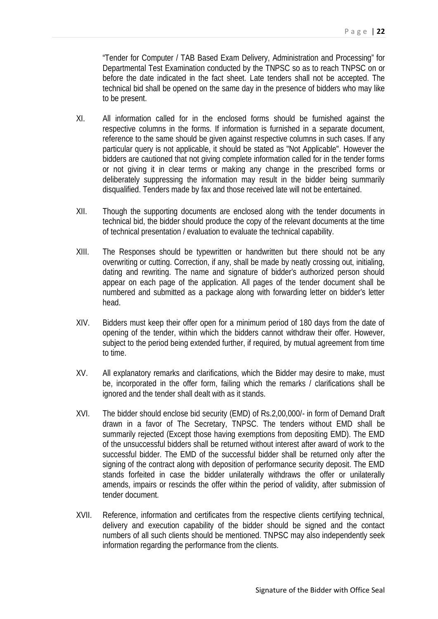"Tender for Computer / TAB Based Exam Delivery, Administration and Processing" for Departmental Test Examination conducted by the TNPSC so as to reach TNPSC on or before the date indicated in the fact sheet. Late tenders shall not be accepted. The technical bid shall be opened on the same day in the presence of bidders who may like to be present.

- XI. All information called for in the enclosed forms should be furnished against the respective columns in the forms. If information is furnished in a separate document, reference to the same should be given against respective columns in such cases. If any particular query is not applicable, it should be stated as "Not Applicable". However the bidders are cautioned that not giving complete information called for in the tender forms or not giving it in clear terms or making any change in the prescribed forms or deliberately suppressing the information may result in the bidder being summarily disqualified. Tenders made by fax and those received late will not be entertained.
- XII. Though the supporting documents are enclosed along with the tender documents in technical bid, the bidder should produce the copy of the relevant documents at the time of technical presentation / evaluation to evaluate the technical capability.
- XIII. The Responses should be typewritten or handwritten but there should not be any overwriting or cutting. Correction, if any, shall be made by neatly crossing out, initialing, dating and rewriting. The name and signature of bidder's authorized person should appear on each page of the application. All pages of the tender document shall be numbered and submitted as a package along with forwarding letter on bidder's letter head.
- XIV. Bidders must keep their offer open for a minimum period of 180 days from the date of opening of the tender, within which the bidders cannot withdraw their offer. However, subject to the period being extended further, if required, by mutual agreement from time to time.
- XV. All explanatory remarks and clarifications, which the Bidder may desire to make, must be, incorporated in the offer form, failing which the remarks / clarifications shall be ignored and the tender shall dealt with as it stands.
- XVI. The bidder should enclose bid security (EMD) of Rs.2,00,000/- in form of Demand Draft drawn in a favor of The Secretary, TNPSC. The tenders without EMD shall be summarily rejected (Except those having exemptions from depositing EMD). The EMD of the unsuccessful bidders shall be returned without interest after award of work to the successful bidder. The EMD of the successful bidder shall be returned only after the signing of the contract along with deposition of performance security deposit. The EMD stands forfeited in case the bidder unilaterally withdraws the offer or unilaterally amends, impairs or rescinds the offer within the period of validity, after submission of tender document.
- XVII. Reference, information and certificates from the respective clients certifying technical, delivery and execution capability of the bidder should be signed and the contact numbers of all such clients should be mentioned. TNPSC may also independently seek information regarding the performance from the clients.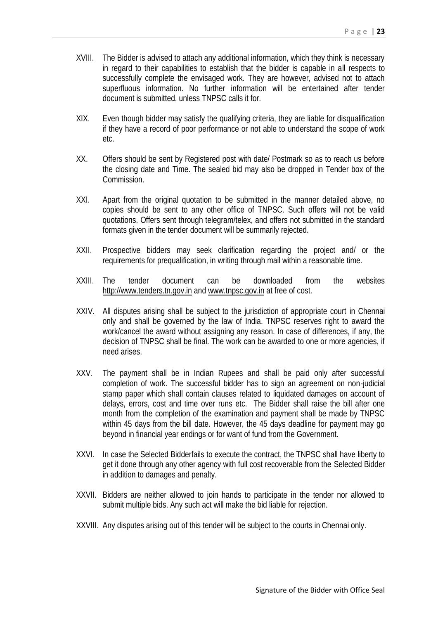- XVIII. The Bidder is advised to attach any additional information, which they think is necessary in regard to their capabilities to establish that the bidder is capable in all respects to successfully complete the envisaged work. They are however, advised not to attach superfluous information. No further information will be entertained after tender document is submitted, unless TNPSC calls it for.
- XIX. Even though bidder may satisfy the qualifying criteria, they are liable for disqualification if they have a record of poor performance or not able to understand the scope of work etc.
- XX. Offers should be sent by Registered post with date/ Postmark so as to reach us before the closing date and Time. The sealed bid may also be dropped in Tender box of the Commission.
- XXI. Apart from the original quotation to be submitted in the manner detailed above, no copies should be sent to any other office of TNPSC. Such offers will not be valid quotations. Offers sent through telegram/telex, and offers not submitted in the standard formats given in the tender document will be summarily rejected.
- XXII. Prospective bidders may seek clarification regarding the project and/ or the requirements for prequalification, in writing through mail within a reasonable time.
- XXIII. The tender document can be downloaded from the websites http://www.tenders.tn.gov.in and www.tnpsc.gov.in at free of cost.
- XXIV. All disputes arising shall be subject to the jurisdiction of appropriate court in Chennai only and shall be governed by the law of India. TNPSC reserves right to award the work/cancel the award without assigning any reason. In case of differences, if any, the decision of TNPSC shall be final. The work can be awarded to one or more agencies, if need arises.
- XXV. The payment shall be in Indian Rupees and shall be paid only after successful completion of work. The successful bidder has to sign an agreement on non-judicial stamp paper which shall contain clauses related to liquidated damages on account of delays, errors, cost and time over runs etc. The Bidder shall raise the bill after one month from the completion of the examination and payment shall be made by TNPSC within 45 days from the bill date. However, the 45 days deadline for payment may go beyond in financial year endings or for want of fund from the Government.
- XXVI. In case the Selected Bidderfails to execute the contract, the TNPSC shall have liberty to get it done through any other agency with full cost recoverable from the Selected Bidder in addition to damages and penalty.
- XXVII. Bidders are neither allowed to join hands to participate in the tender nor allowed to submit multiple bids. Any such act will make the bid liable for rejection.
- XXVIII. Any disputes arising out of this tender will be subject to the courts in Chennai only.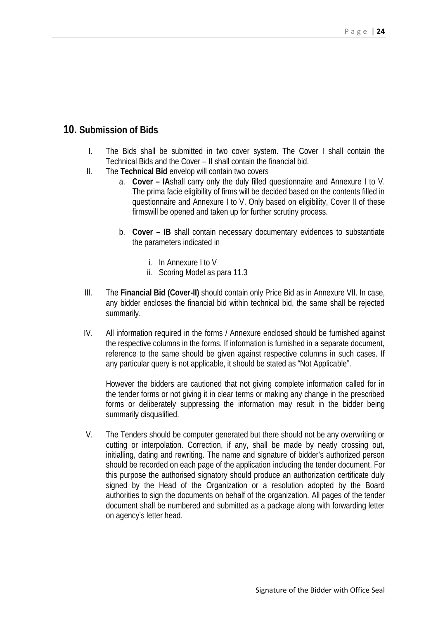## **10. Submission of Bids**

- I. The Bids shall be submitted in two cover system. The Cover I shall contain the Technical Bids and the Cover – II shall contain the financial bid.
- II. The **Technical Bid** envelop will contain two covers
	- a. **Cover – IA**shall carry only the duly filled questionnaire and Annexure I to V. The prima facie eligibility of firms will be decided based on the contents filled in questionnaire and Annexure I to V. Only based on eligibility, Cover II of these firmswill be opened and taken up for further scrutiny process.
	- b. **Cover – IB** shall contain necessary documentary evidences to substantiate the parameters indicated in
		- i. In Annexure I to V
		- ii. Scoring Model as para 11.3
- III. The **Financial Bid (Cover-II)** should contain only Price Bid as in Annexure VII. In case, any bidder encloses the financial bid within technical bid, the same shall be rejected summarily.
- IV. All information required in the forms / Annexure enclosed should be furnished against the respective columns in the forms. If information is furnished in a separate document, reference to the same should be given against respective columns in such cases. If any particular query is not applicable, it should be stated as "Not Applicable".

However the bidders are cautioned that not giving complete information called for in the tender forms or not giving it in clear terms or making any change in the prescribed forms or deliberately suppressing the information may result in the bidder being summarily disqualified.

V. The Tenders should be computer generated but there should not be any overwriting or cutting or interpolation. Correction, if any, shall be made by neatly crossing out, initialling, dating and rewriting. The name and signature of bidder's authorized person should be recorded on each page of the application including the tender document. For this purpose the authorised signatory should produce an authorization certificate duly signed by the Head of the Organization or a resolution adopted by the Board authorities to sign the documents on behalf of the organization. All pages of the tender document shall be numbered and submitted as a package along with forwarding letter on agency's letter head.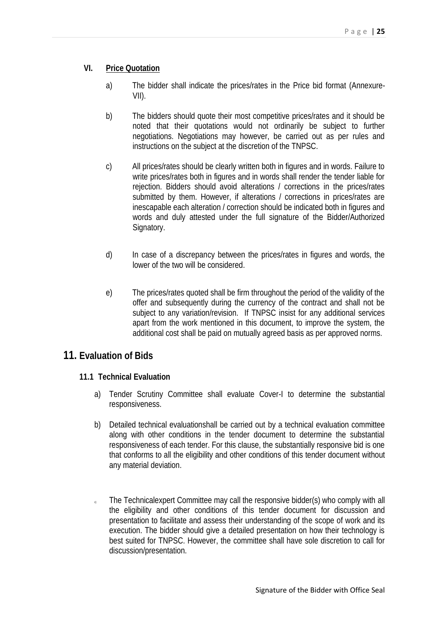### **VI. Price Quotation**

- a) The bidder shall indicate the prices/rates in the Price bid format (Annexure- VII).
- b) The bidders should quote their most competitive prices/rates and it should be noted that their quotations would not ordinarily be subject to further negotiations. Negotiations may however, be carried out as per rules and instructions on the subject at the discretion of the TNPSC.
- c) All prices/rates should be clearly written both in figures and in words. Failure to write prices/rates both in figures and in words shall render the tender liable for rejection. Bidders should avoid alterations / corrections in the prices/rates submitted by them. However, if alterations / corrections in prices/rates are inescapable each alteration / correction should be indicated both in figures and words and duly attested under the full signature of the Bidder/Authorized Signatory.
- d) In case of a discrepancy between the prices/rates in figures and words, the lower of the two will be considered.
- e) The prices/rates quoted shall be firm throughout the period of the validity of the offer and subsequently during the currency of the contract and shall not be subject to any variation/revision. If TNPSC insist for any additional services apart from the work mentioned in this document, to improve the system, the additional cost shall be paid on mutually agreed basis as per approved norms.

### **11. Evaluation of Bids**

#### **11.1 Technical Evaluation**

- a) Tender Scrutiny Committee shall evaluate Cover-I to determine the substantial responsiveness.
- b) Detailed technical evaluationshall be carried out by a technical evaluation committee along with other conditions in the tender document to determine the substantial responsiveness of each tender. For this clause, the substantially responsive bid is one that conforms to all the eligibility and other conditions of this tender document without any material deviation.
- The Technicalexpert Committee may call the responsive bidder(s) who comply with all the eligibility and other conditions of this tender document for discussion and presentation to facilitate and assess their understanding of the scope of work and its execution. The bidder should give a detailed presentation on how their technology is best suited for TNPSC. However, the committee shall have sole discretion to call for discussion/presentation.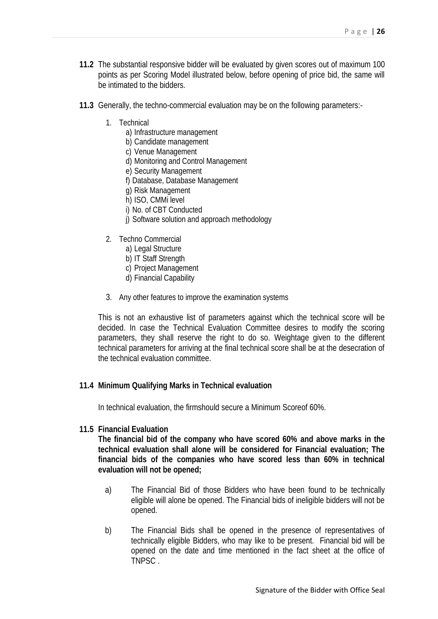- **11.2** The substantial responsive bidder will be evaluated by given scores out of maximum 100 points as per Scoring Model illustrated below, before opening of price bid, the same will be intimated to the bidders.
- **11.3** Generally, the techno-commercial evaluation may be on the following parameters:-
	- 1. Technical
		- a) Infrastructure management
		- b) Candidate management
		- c) Venue Management
		- d) Monitoring and Control Management
		- e) Security Management
		- f) Database, Database Management
		- g) Risk Management
		- h) ISO, CMMi level
		- i) No. of CBT Conducted
		- j) Software solution and approach methodology
	- 2. Techno Commercial
		- a) Legal Structure
		- b) IT Staff Strength
		- c) Project Management
		- d) Financial Capability
	- 3. Any other features to improve the examination systems

This is not an exhaustive list of parameters against which the technical score will be decided. In case the Technical Evaluation Committee desires to modify the scoring parameters, they shall reserve the right to do so. Weightage given to the different technical parameters for arriving at the final technical score shall be at the desecration of the technical evaluation committee.

#### **11.4 Minimum Qualifying Marks in Technical evaluation**

In technical evaluation, the firmshould secure a Minimum Scoreof 60%.

**11.5 Financial Evaluation**

**The financial bid of the company who have scored 60% and above marks in the technical evaluation shall alone will be considered for Financial evaluation; The financial bids of the companies who have scored less than 60% in technical evaluation will not be opened;**

- a) The Financial Bid of those Bidders who have been found to be technically eligible will alone be opened. The Financial bids of ineligible bidders will not be opened.
- b) The Financial Bids shall be opened in the presence of representatives of technically eligible Bidders, who may like to be present. Financial bid will be opened on the date and time mentioned in the fact sheet at the office of TNPSC .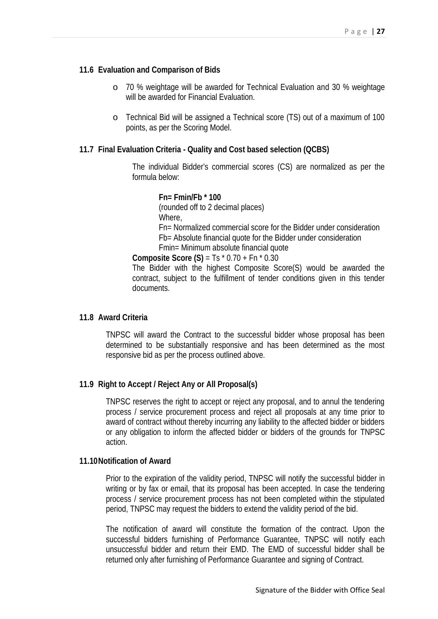#### **11.6 Evaluation and Comparison of Bids**

- o 70 % weightage will be awarded for Technical Evaluation and 30 % weightage will be awarded for Financial Evaluation.
- o Technical Bid will be assigned a Technical score (TS) out of a maximum of 100 points, as per the Scoring Model.

#### **11.7 Final Evaluation Criteria - Quality and Cost based selection (QCBS)**

The individual Bidder's commercial scores (CS) are normalized as per the formula below:

#### **Fn= Fmin/Fb \* 100**

(rounded off to 2 decimal places) Where, Fn= Normalized commercial score for the Bidder under consideration Fb= Absolute financial quote for the Bidder under consideration Fmin= Minimum absolute financial quote

**Composite Score (S)** = Ts \* 0.70 + Fn \* 0.30

The Bidder with the highest Composite Score(S) would be awarded the contract, subject to the fulfillment of tender conditions given in this tender documents.

#### **11.8 Award Criteria**

TNPSC will award the Contract to the successful bidder whose proposal has been determined to be substantially responsive and has been determined as the most responsive bid as per the process outlined above.

#### **11.9 Right to Accept / Reject Any or All Proposal(s)**

TNPSC reserves the right to accept or reject any proposal, and to annul the tendering process / service procurement process and reject all proposals at any time prior to award of contract without thereby incurring any liability to the affected bidder or bidders or any obligation to inform the affected bidder or bidders of the grounds for TNPSC action.

#### **11.10Notification of Award**

Prior to the expiration of the validity period, TNPSC will notify the successful bidder in writing or by fax or email, that its proposal has been accepted. In case the tendering process / service procurement process has not been completed within the stipulated period, TNPSC may request the bidders to extend the validity period of the bid.

The notification of award will constitute the formation of the contract. Upon the successful bidders furnishing of Performance Guarantee, TNPSC will notify each unsuccessful bidder and return their EMD. The EMD of successful bidder shall be returned only after furnishing of Performance Guarantee and signing of Contract.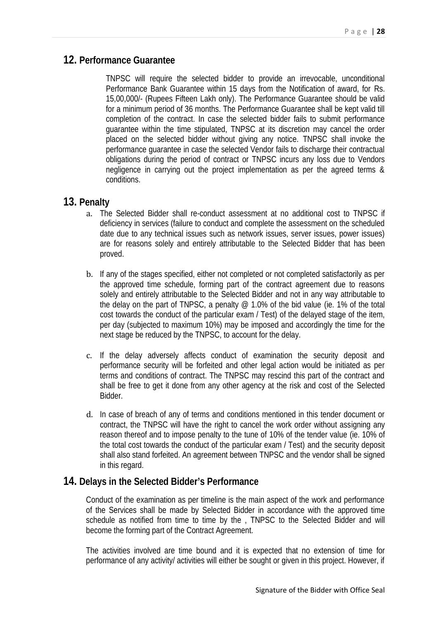### **12. Performance Guarantee**

TNPSC will require the selected bidder to provide an irrevocable, unconditional Performance Bank Guarantee within 15 days from the Notification of award, for Rs. 15,00,000/- (Rupees Fifteen Lakh only). The Performance Guarantee should be valid for a minimum period of 36 months. The Performance Guarantee shall be kept valid till completion of the contract. In case the selected bidder fails to submit performance guarantee within the time stipulated, TNPSC at its discretion may cancel the order placed on the selected bidder without giving any notice. TNPSC shall invoke the performance guarantee in case the selected Vendor fails to discharge their contractual obligations during the period of contract or TNPSC incurs any loss due to Vendors negligence in carrying out the project implementation as per the agreed terms & conditions.

### **13. Penalty**

- a. The Selected Bidder shall re-conduct assessment at no additional cost to TNPSC if deficiency in services (failure to conduct and complete the assessment on the scheduled date due to any technical issues such as network issues, server issues, power issues) are for reasons solely and entirely attributable to the Selected Bidder that has been proved.
- b. If any of the stages specified, either not completed or not completed satisfactorily as per the approved time schedule, forming part of the contract agreement due to reasons solely and entirely attributable to the Selected Bidder and not in any way attributable to the delay on the part of TNPSC, a penalty @ 1.0% of the bid value (ie. 1% of the total cost towards the conduct of the particular exam / Test) of the delayed stage of the item, per day (subjected to maximum 10%) may be imposed and accordingly the time for the next stage be reduced by the TNPSC, to account for the delay.
- c. If the delay adversely affects conduct of examination the security deposit and performance security will be forfeited and other legal action would be initiated as per terms and conditions of contract. The TNPSC may rescind this part of the contract and shall be free to get it done from any other agency at the risk and cost of the Selected Bidder.
- d. In case of breach of any of terms and conditions mentioned in this tender document or contract, the TNPSC will have the right to cancel the work order without assigning any reason thereof and to impose penalty to the tune of 10% of the tender value (ie. 10% of the total cost towards the conduct of the particular exam / Test) and the security deposit shall also stand forfeited. An agreement between TNPSC and the vendor shall be signed in this regard.

### **14. Delays in the Selected Bidder's Performance**

Conduct of the examination as per timeline is the main aspect of the work and performance of the Services shall be made by Selected Bidder in accordance with the approved time schedule as notified from time to time by the , TNPSC to the Selected Bidder and will become the forming part of the Contract Agreement.

The activities involved are time bound and it is expected that no extension of time for performance of any activity/ activities will either be sought or given in this project. However, if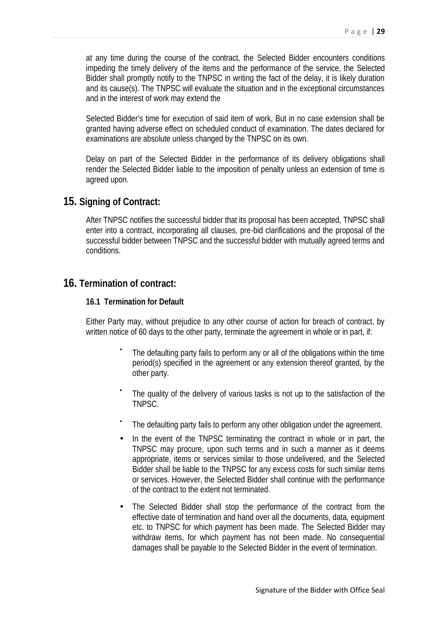at any time during the course of the contract, the Selected Bidder encounters conditions impeding the timely delivery of the items and the performance of the service, the Selected Bidder shall promptly notify to the TNPSC in writing the fact of the delay, it is likely duration and its cause(s). The TNPSC will evaluate the situation and in the exceptional circumstances and in the interest of work may extend the

Selected Bidder's time for execution of said item of work, But in no case extension shall be granted having adverse effect on scheduled conduct of examination. The dates declared for examinations are absolute unless changed by the TNPSC on its own.

Delay on part of the Selected Bidder in the performance of its delivery obligations shall render the Selected Bidder liable to the imposition of penalty unless an extension of time is agreed upon.

### **15. Signing of Contract:**

After TNPSC notifies the successful bidder that its proposal has been accepted, TNPSC shall enter into a contract, incorporating all clauses, pre-bid clarifications and the proposal of the successful bidder between TNPSC and the successful bidder with mutually agreed terms and conditions.

## **16. Termination of contract:**

#### **16.1 Termination for Default**

Either Party may, without prejudice to any other course of action for breach of contract, by written notice of 60 days to the other party, terminate the agreement in whole or in part, if:

- The defaulting party fails to perform any or all of the obligations within the time period(s) specified in the agreement or any extension thereof granted, by the other party.
- The quality of the delivery of various tasks is not up to the satisfaction of the TNPSC.
- The defaulting party fails to perform any other obligation under the agreement.
- In the event of the TNPSC terminating the contract in whole or in part, the TNPSC may procure, upon such terms and in such a manner as it deems appropriate, items or services similar to those undelivered, and the Selected Bidder shall be liable to the TNPSC for any excess costs for such similar items or services. However, the Selected Bidder shall continue with the performance of the contract to the extent not terminated.
- The Selected Bidder shall stop the performance of the contract from the effective date of termination and hand over all the documents, data, equipment etc. to TNPSC for which payment has been made. The Selected Bidder may withdraw items, for which payment has not been made. No consequential damages shall be payable to the Selected Bidder in the event of termination.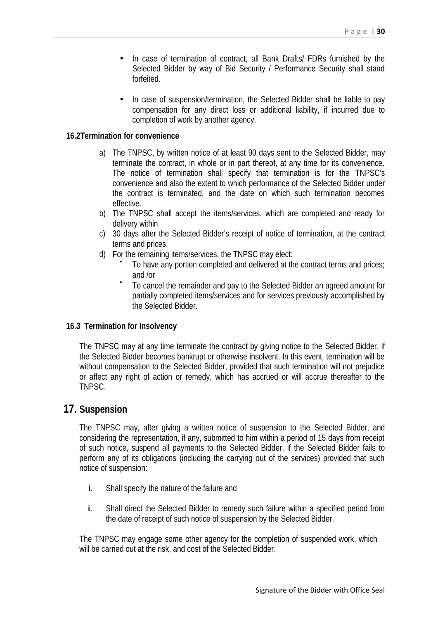- In case of termination of contract, all Bank Drafts/ FDRs furnished by the Selected Bidder by way of Bid Security / Performance Security shall stand forfeited.
- In case of suspension/termination, the Selected Bidder shall be liable to pay compensation for any direct loss or additional liability, if incurred due to completion of work by another agency.

#### **16.2Termination for convenience**

- a) The TNPSC, by written notice of at least 90 days sent to the Selected Bidder, may terminate the contract, in whole or in part thereof, at any time for its convenience. The notice of termination shall specify that termination is for the TNPSC's convenience and also the extent to which performance of the Selected Bidder under the contract is terminated, and the date on which such termination becomes effective.
- b) The TNPSC shall accept the items/services, which are completed and ready for delivery within
- c) 30 days after the Selected Bidder's receipt of notice of termination, at the contract terms and prices.
- 
- d) For the remaining items/services, the TNPSC may elect: To have any portion completed and delivered at the contract terms and prices;
	- and /or To cancel the remainder and pay to the Selected Bidder an agreed amount for partially completed items/services and for services previously accomplished by the Selected Bidder.

#### **16.3 Termination for Insolvency**

The TNPSC may at any time terminate the contract by giving notice to the Selected Bidder, if the Selected Bidder becomes bankrupt or otherwise insolvent. In this event, termination will be without compensation to the Selected Bidder, provided that such termination will not prejudice or affect any right of action or remedy, which has accrued or will accrue thereafter to the TNPSC.

### **17. Suspension**

The TNPSC may, after giving a written notice of suspension to the Selected Bidder, and considering the representation, if any, submitted to him within a period of 15 days from receipt of such notice, suspend all payments to the Selected Bidder, if the Selected Bidder fails to perform any of its obligations (including the carrying out of the services) provided that such notice of suspension:

- **i.** Shall specify the nature of the failure and
- ii. Shall direct the Selected Bidder to remedy such failure within a specified period from the date of receipt of such notice of suspension by the Selected Bidder.

The TNPSC may engage some other agency for the completion of suspended work, which will be carried out at the risk, and cost of the Selected Bidder.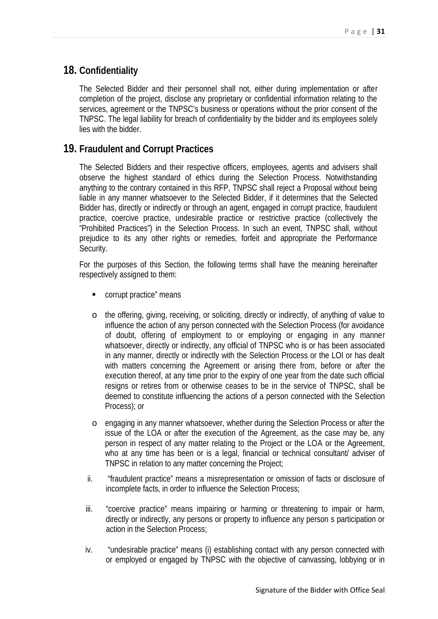## **18. Confidentiality**

The Selected Bidder and their personnel shall not, either during implementation or after completion of the project, disclose any proprietary or confidential information relating to the services, agreement or the TNPSC's business or operations without the prior consent of the TNPSC. The legal liability for breach of confidentiality by the bidder and its employees solely lies with the bidder.

## **19. Fraudulent and Corrupt Practices**

The Selected Bidders and their respective officers, employees, agents and advisers shall observe the highest standard of ethics during the Selection Process. Notwithstanding anything to the contrary contained in this RFP, TNPSC shall reject a Proposal without being liable in any manner whatsoever to the Selected Bidder, if it determines that the Selected Bidder has, directly or indirectly or through an agent, engaged in corrupt practice, fraudulent practice, coercive practice, undesirable practice or restrictive practice (collectively the "Prohibited Practices") in the Selection Process. In such an event, TNPSC shall, without prejudice to its any other rights or remedies, forfeit and appropriate the Performance Security.

For the purposes of this Section, the following terms shall have the meaning hereinafter respectively assigned to them:

- **COULD corrupt practice**" means
- o the offering, giving, receiving, or soliciting, directly or indirectly, of anything of value to influence the action of any person connected with the Selection Process (for avoidance of doubt, offering of employment to or employing or engaging in any manner whatsoever, directly or indirectly, any official of TNPSC who is or has been associated in any manner, directly or indirectly with the Selection Process or the LOI or has dealt with matters concerning the Agreement or arising there from, before or after the execution thereof, at any time prior to the expiry of one year from the date such official resigns or retires from or otherwise ceases to be in the service of TNPSC, shall be deemed to constitute influencing the actions of a person connected with the Selection Process); or
- o engaging in any manner whatsoever, whether during the Selection Process or after the issue of the LOA or after the execution of the Agreement, as the case may be, any person in respect of any matter relating to the Project or the LOA or the Agreement, who at any time has been or is a legal, financial or technical consultant/ adviser of TNPSC in relation to any matter concerning the Project;
- ii. "fraudulent practice" means a misrepresentation or omission of facts or disclosure of incomplete facts, in order to influence the Selection Process;
- iii. "coercive practice" means impairing or harming or threatening to impair or harm, directly or indirectly, any persons or property to influence any person s participation or action in the Selection Process;
- iv. "undesirable practice" means (i) establishing contact with any person connected with or employed or engaged by TNPSC with the objective of canvassing, lobbying or in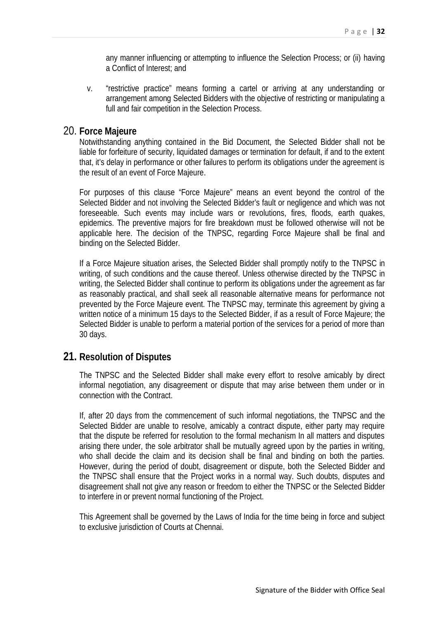any manner influencing or attempting to influence the Selection Process; or (ii) having a Conflict of Interest; and

v. "restrictive practice" means forming a cartel or arriving at any understanding or arrangement among Selected Bidders with the objective of restricting or manipulating a full and fair competition in the Selection Process.

### 20. **Force Majeure**

Notwithstanding anything contained in the Bid Document, the Selected Bidder shall not be liable for forfeiture of security, liquidated damages or termination for default, if and to the extent that, it's delay in performance or other failures to perform its obligations under the agreement is the result of an event of Force Majeure.

For purposes of this clause "Force Majeure" means an event beyond the control of the Selected Bidder and not involving the Selected Bidder's fault or negligence and which was not foreseeable. Such events may include wars or revolutions, fires, floods, earth quakes, epidemics. The preventive majors for fire breakdown must be followed otherwise will not be applicable here. The decision of the TNPSC, regarding Force Majeure shall be final and binding on the Selected Bidder.

If a Force Majeure situation arises, the Selected Bidder shall promptly notify to the TNPSC in writing, of such conditions and the cause thereof. Unless otherwise directed by the TNPSC in writing, the Selected Bidder shall continue to perform its obligations under the agreement as far as reasonably practical, and shall seek all reasonable alternative means for performance not prevented by the Force Majeure event. The TNPSC may, terminate this agreement by giving a written notice of a minimum 15 days to the Selected Bidder, if as a result of Force Majeure; the Selected Bidder is unable to perform a material portion of the services for a period of more than 30 days.

### **21. Resolution of Disputes**

The TNPSC and the Selected Bidder shall make every effort to resolve amicably by direct informal negotiation, any disagreement or dispute that may arise between them under or in connection with the Contract.

If, after 20 days from the commencement of such informal negotiations, the TNPSC and the Selected Bidder are unable to resolve, amicably a contract dispute, either party may require that the dispute be referred for resolution to the formal mechanism In all matters and disputes arising there under, the sole arbitrator shall be mutually agreed upon by the parties in writing, who shall decide the claim and its decision shall be final and binding on both the parties. However, during the period of doubt, disagreement or dispute, both the Selected Bidder and the TNPSC shall ensure that the Project works in a normal way. Such doubts, disputes and disagreement shall not give any reason or freedom to either the TNPSC or the Selected Bidder to interfere in or prevent normal functioning of the Project.

This Agreement shall be governed by the Laws of India for the time being in force and subject to exclusive jurisdiction of Courts at Chennai.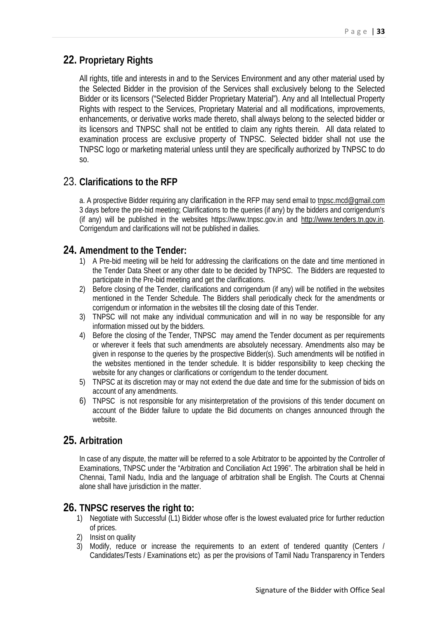# **22. Proprietary Rights**

All rights, title and interests in and to the Services Environment and any other material used by the Selected Bidder in the provision of the Services shall exclusively belong to the Selected Bidder or its licensors ("Selected Bidder Proprietary Material"). Any and all Intellectual Property Rights with respect to the Services, Proprietary Material and all modifications, improvements, enhancements, or derivative works made thereto, shall always belong to the selected bidder or its licensors and TNPSC shall not be entitled to claim any rights therein. All data related to examination process are exclusive property of TNPSC. Selected bidder shall not use the TNPSC logo or marketing material unless until they are specifically authorized by TNPSC to do so.

## 23. **Clarifications to the RFP**

a. A prospective Bidder requiring any clarification in the RFP may send email to tnpsc.mcd@gmail.com 3 days before the pre-bid meeting; Clarifications to the queries (if any) by the bidders and corrigendum's (if any) will be published in the websites https://www.tnpsc.gov.in and http://www.tenders.tn.gov.in. Corrigendum and clarifications will not be published in dailies.

### **24. Amendment to the Tender:**

- 1) A Pre-bid meeting will be held for addressing the clarifications on the date and time mentioned in the Tender Data Sheet or any other date to be decided by TNPSC. The Bidders are requested to participate in the Pre-bid meeting and get the clarifications.
- 2) Before closing of the Tender, clarifications and corrigendum (if any) will be notified in the websites mentioned in the Tender Schedule. The Bidders shall periodically check for the amendments or corrigendum or information in the websites till the closing date of this Tender.
- 3) TNPSC will not make any individual communication and will in no way be responsible for any information missed out by the bidders.
- 4) Before the closing of the Tender, TNPSC may amend the Tender document as per requirements or wherever it feels that such amendments are absolutely necessary. Amendments also may be given in response to the queries by the prospective Bidder(s). Such amendments will be notified in the websites mentioned in the tender schedule. It is bidder responsibility to keep checking the website for any changes or clarifications or corrigendum to the tender document.
- 5) TNPSC at its discretion may or may not extend the due date and time for the submission of bids on account of any amendments.
- 6) TNPSC is not responsible for any misinterpretation of the provisions of this tender document on account of the Bidder failure to update the Bid documents on changes announced through the website.

## **25. Arbitration**

In case of any dispute, the matter will be referred to a sole Arbitrator to be appointed by the Controller of Examinations, TNPSC under the "Arbitration and Conciliation Act 1996". The arbitration shall be held in Chennai, Tamil Nadu, India and the language of arbitration shall be English. The Courts at Chennai alone shall have jurisdiction in the matter.

## **26. TNPSC reserves the right to:**

- 1) Negotiate with Successful (L1) Bidder whose offer is the lowest evaluated price for further reduction of prices.
- 2) Insist on quality
- 3) Modify, reduce or increase the requirements to an extent of tendered quantity (Centers / Candidates/Tests / Examinations etc) as per the provisions of Tamil Nadu Transparency in Tenders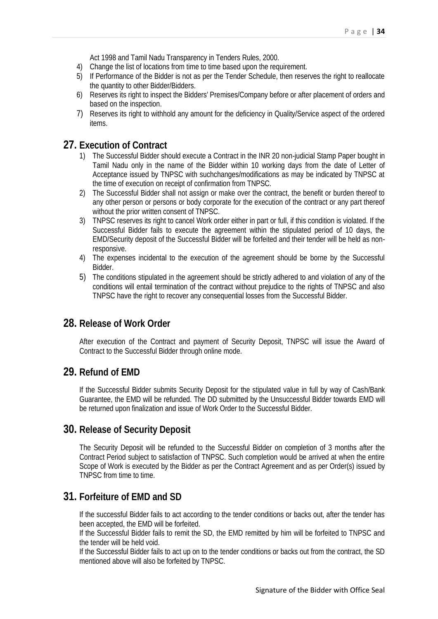Act 1998 and Tamil Nadu Transparency in Tenders Rules, 2000.

- 4) Change the list of locations from time to time based upon the requirement.
- 5) If Performance of the Bidder is not as per the Tender Schedule, then reserves the right to reallocate the quantity to other Bidder/Bidders.
- 6) Reserves its right to inspect the Bidders' Premises/Company before or after placement of orders and based on the inspection.
- 7) Reserves its right to withhold any amount for the deficiency in Quality/Service aspect of the ordered items.

## **27. Execution of Contract**

- 1) The Successful Bidder should execute a Contract in the INR 20 non-judicial Stamp Paper bought in Tamil Nadu only in the name of the Bidder within 10 working days from the date of Letter of Acceptance issued by TNPSC with suchchanges/modifications as may be indicated by TNPSC at the time of execution on receipt of confirmation from TNPSC.
- 2) The Successful Bidder shall not assign or make over the contract, the benefit or burden thereof to any other person or persons or body corporate for the execution of the contract or any part thereof without the prior written consent of TNPSC.
- 3) TNPSC reserves its right to cancel Work order either in part or full, if this condition is violated. If the Successful Bidder fails to execute the agreement within the stipulated period of 10 days, the EMD/Security deposit of the Successful Bidder will be forfeited and their tender will be held as nonresponsive.
- 4) The expenses incidental to the execution of the agreement should be borne by the Successful Bidder.
- 5) The conditions stipulated in the agreement should be strictly adhered to and violation of any of the conditions will entail termination of the contract without prejudice to the rights of TNPSC and also TNPSC have the right to recover any consequential losses from the Successful Bidder.

## **28. Release of Work Order**

After execution of the Contract and payment of Security Deposit, TNPSC will issue the Award of Contract to the Successful Bidder through online mode.

### **29. Refund of EMD**

If the Successful Bidder submits Security Deposit for the stipulated value in full by way of Cash/Bank Guarantee, the EMD will be refunded. The DD submitted by the Unsuccessful Bidder towards EMD will be returned upon finalization and issue of Work Order to the Successful Bidder.

### **30. Release of Security Deposit**

The Security Deposit will be refunded to the Successful Bidder on completion of 3 months after the Contract Period subject to satisfaction of TNPSC. Such completion would be arrived at when the entire Scope of Work is executed by the Bidder as per the Contract Agreement and as per Order(s) issued by TNPSC from time to time.

## **31. Forfeiture of EMD and SD**

If the successful Bidder fails to act according to the tender conditions or backs out, after the tender has been accepted, the EMD will be forfeited.

If the Successful Bidder fails to remit the SD, the EMD remitted by him will be forfeited to TNPSC and the tender will be held void.

If the Successful Bidder fails to act up on to the tender conditions or backs out from the contract, the SD mentioned above will also be forfeited by TNPSC.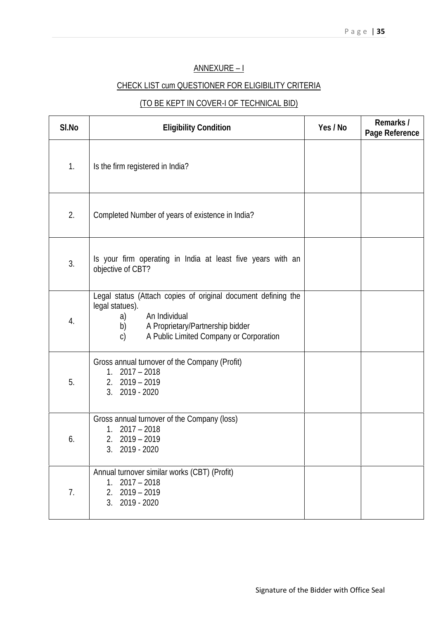### ANNEXURE –I

## CHECK LIST cum QUESTIONER FOR ELIGIBILITY CRITERIA

# (TO BE KEPT IN COVER-I OF TECHNICAL BID)

| SI.No | <b>Eligibility Condition</b>                                                                                                                                                                                 | Yes/No | Remarks/<br>Page Reference |
|-------|--------------------------------------------------------------------------------------------------------------------------------------------------------------------------------------------------------------|--------|----------------------------|
| 1.    | Is the firm registered in India?                                                                                                                                                                             |        |                            |
| 2.    | Completed Number of years of existence in India?                                                                                                                                                             |        |                            |
| 3.    | Is your firm operating in India at least five years with an<br>objective of CBT?                                                                                                                             |        |                            |
| 4.    | Legal status (Attach copies of original document defining the<br>legal statues).<br>An Individual<br>a)<br>b)<br>A Proprietary/Partnership bidder<br>A Public Limited Company or Corporation<br>$\mathbf{C}$ |        |                            |
| 5.    | Gross annual turnover of the Company (Profit)<br>$1.2017 - 2018$<br>$2.2019 - 2019$<br>3. 2019 - 2020                                                                                                        |        |                            |
| 6.    | Gross annual turnover of the Company (loss)<br>$1.2017 - 2018$<br>2. 2019 - 2019<br>3. 2019 - 2020                                                                                                           |        |                            |
| 7.    | Annual turnover similar works (CBT) (Profit)<br>$2017 - 2018$<br>1.<br>$2.2019 - 2019$<br>3. 2019 - 2020                                                                                                     |        |                            |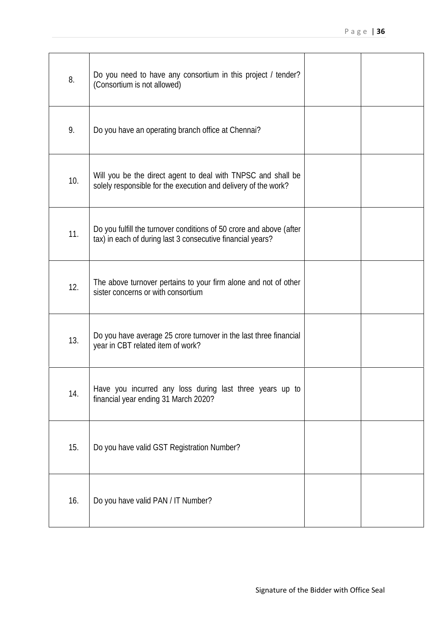| 8.  | Do you need to have any consortium in this project / tender?<br>(Consortium is not allowed)                                       |  |
|-----|-----------------------------------------------------------------------------------------------------------------------------------|--|
| 9.  | Do you have an operating branch office at Chennai?                                                                                |  |
| 10. | Will you be the direct agent to deal with TNPSC and shall be<br>solely responsible for the execution and delivery of the work?    |  |
| 11. | Do you fulfill the turnover conditions of 50 crore and above (after<br>tax) in each of during last 3 consecutive financial years? |  |
| 12. | The above turnover pertains to your firm alone and not of other<br>sister concerns or with consortium                             |  |
| 13. | Do you have average 25 crore turnover in the last three financial<br>year in CBT related item of work?                            |  |
| 14. | Have you incurred any loss during last three years up to<br>financial year ending 31 March 2020?                                  |  |
| 15. | Do you have valid GST Registration Number?                                                                                        |  |
| 16. | Do you have valid PAN / IT Number?                                                                                                |  |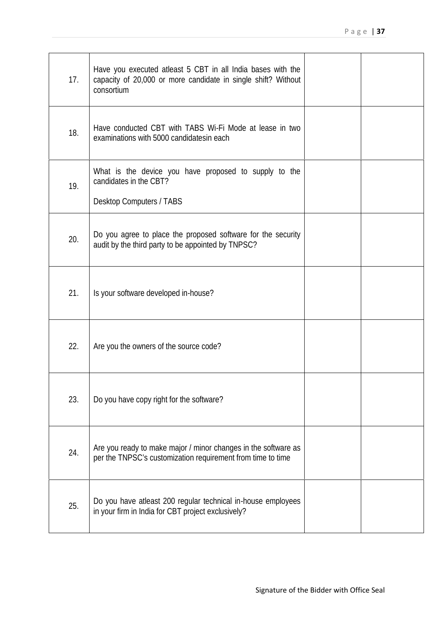| 17. | Have you executed at east 5 CBT in all India bases with the<br>capacity of 20,000 or more candidate in single shift? Without<br>consortium |  |
|-----|--------------------------------------------------------------------------------------------------------------------------------------------|--|
| 18. | Have conducted CBT with TABS W-Fi Mode at lease in two<br>examinations with 5000 candidatesin each                                         |  |
| 19. | What is the device you have proposed to supply to the<br>candidates in the CBT?<br><b>Desktop Computers / TABS</b>                         |  |
| 20. | Do you agree to place the proposed software for the security<br>audit by the third party to be appointed by TNPSC?                         |  |
| 21. | Is your software developed in-house?                                                                                                       |  |
| 22. | Are you the owners of the source code?                                                                                                     |  |
| 23. | Do you have copy right for the software?                                                                                                   |  |
| 24. | Are you ready to make major / minor changes in the software as<br>per the TNPSC's customization requirement from time to time              |  |
| 25. | Do you have atleast 200 regular technical in-house employees<br>in your firm in India for CBT project exclusively?                         |  |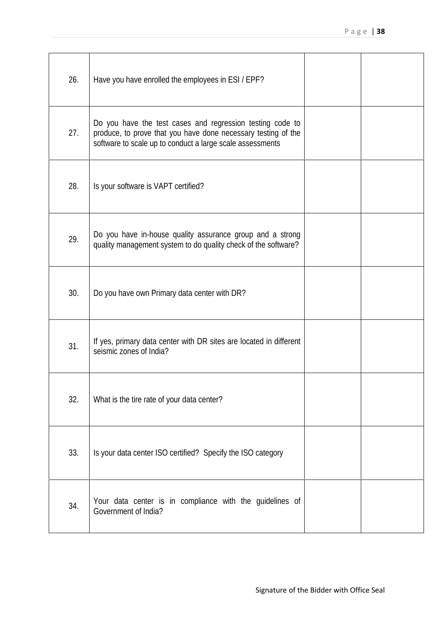| 26. | Have you have enrolled the employees in ESI / EPF?                                                                                                                                      |  |
|-----|-----------------------------------------------------------------------------------------------------------------------------------------------------------------------------------------|--|
| 27. | Do you have the test cases and regression testing code to<br>produce, to prove that you have done necessary testing of the<br>software to scale up to conduct a large scale assessments |  |
| 28. | Is your software is VAPT certified?                                                                                                                                                     |  |
| 29. | Do you have in-house quality assurance group and a strong<br>quality management system to do quality check of the software?                                                             |  |
| 30. | Do you have own Primary data center with DR?                                                                                                                                            |  |
| 31. | If yes, primary data center with DR sites are located in different<br>seismic zones of India?                                                                                           |  |
| 32. | What is the tire rate of your data center?                                                                                                                                              |  |
| 33. | Is your data center ISO certified? Specify the ISO category                                                                                                                             |  |
| 34. | Your data center is in compliance with the guidelines of<br>Government of India?                                                                                                        |  |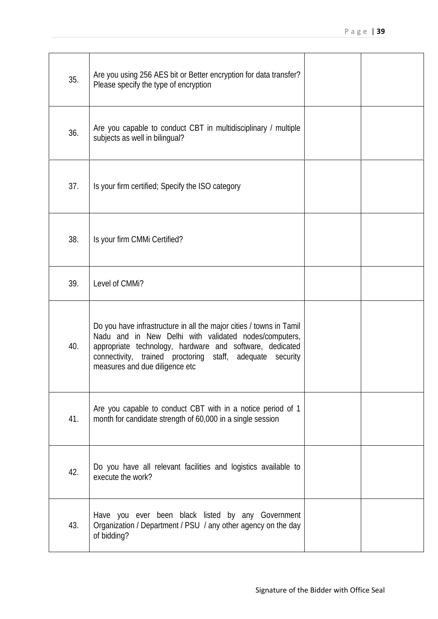| 35. | Are you using 256 AES bit or Better encryption for data transfer?<br>Please specify the type of encryption                                                                                                                                                                              |  |
|-----|-----------------------------------------------------------------------------------------------------------------------------------------------------------------------------------------------------------------------------------------------------------------------------------------|--|
| 36. | Are you capable to conduct CBT in multidisciplinary / multiple<br>subjects as well in bilingual?                                                                                                                                                                                        |  |
| 37. | Is your firm certified; Specify the ISO category                                                                                                                                                                                                                                        |  |
| 38. | Is your firm CMM Certified?                                                                                                                                                                                                                                                             |  |
| 39. | Level of CMM?                                                                                                                                                                                                                                                                           |  |
| 40. | Do you have infrastructure in all the major cities / towns in Tamil<br>Nadu and in New Delhi with validated nodes/computers,<br>appropriate technology, hardware and software, dedicated<br>connectivity, trained proctoring staff, adequate security<br>measures and due diligence etc |  |
| 41. | Are you capable to conduct CBT with in a notice period of 1<br>month for candidate strength of 60,000 in a single session                                                                                                                                                               |  |
| 42. | Do you have all relevant facilities and logistics available to<br>execute the work?                                                                                                                                                                                                     |  |
| 43. | Have you ever been black listed by any Government<br>Organization / Department / PSU / any other agency on the day<br>of bidding?                                                                                                                                                       |  |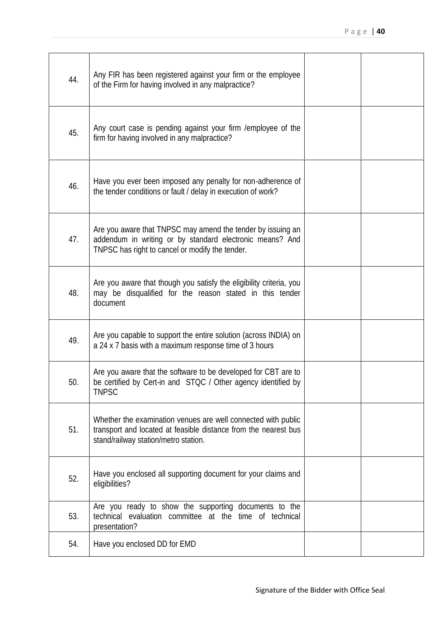| 44. | Any FIR has been registered against your firm or the employee<br>of the Firm for having involved in any malpractice?                                                       |  |
|-----|----------------------------------------------------------------------------------------------------------------------------------------------------------------------------|--|
| 45. | Any court case is pending against your firm / employee of the<br>firm for having involved in any malpractice?                                                              |  |
| 46. | Have you ever been imposed any penalty for non-adherence of<br>the tender conditions or fault / delay in execution of work?                                                |  |
| 47. | Are you aware that TNPSC may amend the tender by issuing an<br>addendum in writing or by standard electronic means? And<br>TNPSC has right to cancel or modify the tender. |  |
| 48. | Are you aware that though you satisfy the eligibility criteria, you<br>may be disqualified for the reason stated in this tender<br>document                                |  |
| 49. | Are you capable to support the entire solution (across INDIA) on<br>a 24 x 7 basis with a maximum response time of 3 hours                                                 |  |
| 50. | Are you aware that the software to be developed for CBT are to<br>be certified by Cert-in and STQC / Other agency identified by<br><b>TNPSC</b>                            |  |
| 51. | Whether the examination venues are well connected with public<br>transport and located at feasible distance from the nearest bus<br>stand/railway station/metro station.   |  |
| 52. | Have you enclosed all supporting document for your claims and<br>eligibilities?                                                                                            |  |
| 53. | Are you ready to show the supporting documents to the<br>technical evaluation committee at the time of technical<br>presentation?                                          |  |
| 54. | Have you enclosed DD for EMD                                                                                                                                               |  |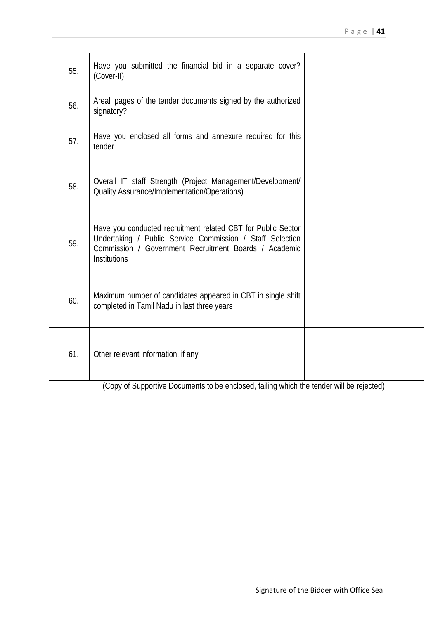| 55. | Have you submitted the financial bid in a separate cover?<br>(Cover-II)                                                                                                                                   |  |
|-----|-----------------------------------------------------------------------------------------------------------------------------------------------------------------------------------------------------------|--|
| 56. | Areall pages of the tender documents signed by the authorized<br>signatory?                                                                                                                               |  |
| 57. | Have you enclosed all forms and annexure required for this<br>tender                                                                                                                                      |  |
| 58. | Overall IT staff Strength (Project Management/Development/<br><b>Quality Assurance/Implementation/Operations)</b>                                                                                         |  |
| 59. | Have you conducted recruitment related CBT for Public Sector<br>Undertaking / Public Service Commission / Staff Selection<br>Commission / Government Recruitment Boards / Academic<br><b>Institutions</b> |  |
| 60. | Maximum number of candidates appeared in CBT in single shift<br>completed in Tamil Nadu in last three years                                                                                               |  |
| 61. | Other relevant information, if any                                                                                                                                                                        |  |

(Copy of Supportive Documents to be enclosed, failing which the tender will be rejected)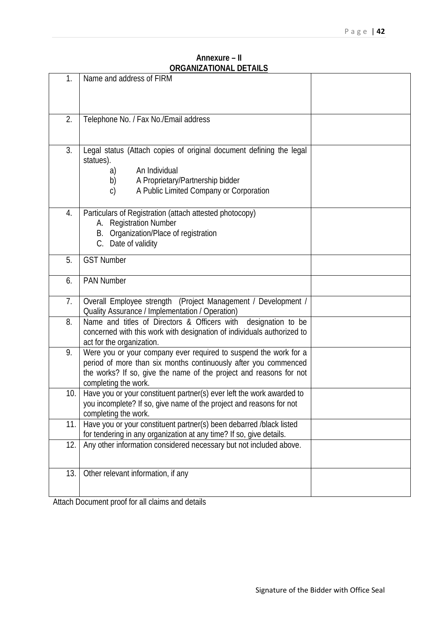#### **Annexure – II ORGANIZATIONAL DETAILS**

| 1.  | Name and address of FIRM                                                                                                                                                                                                          |  |
|-----|-----------------------------------------------------------------------------------------------------------------------------------------------------------------------------------------------------------------------------------|--|
| 2.  | Telephone No. / Fax No./Email address                                                                                                                                                                                             |  |
| 3.  | Legal status (Attach copies of original document defining the legal<br>statues).<br>An Individual<br>a)<br>A Proprietary/Partnership bidder<br>b)<br>A Public Limited Company or Corporation<br>C)                                |  |
| 4.  | Particulars of Registration (attach attested photocopy)<br>A. Registration Number<br>B. Organization/Place of registration<br>C. Date of validity                                                                                 |  |
| 5.  | <b>GST Number</b>                                                                                                                                                                                                                 |  |
| 6.  | <b>PAN Number</b>                                                                                                                                                                                                                 |  |
| 7.  | Overall Employee strength (Project Management / Development /<br>Quality Assurance / Implementation / Operation)                                                                                                                  |  |
| 8.  | Name and titles of Directors & Officers with designation to be<br>concerned with this work with designation of individuals authorized to<br>act for the organization.                                                             |  |
| 9.  | Were you or your company ever required to suspend the work for a<br>period of more than six months continuously after you commenced<br>the works? If so, give the name of the project and reasons for not<br>completing the work. |  |
| 10. | Have you or your constituent partner(s) ever left the work awarded to<br>you incomplete? If so, give name of the project and reasons for not<br>completing the work.                                                              |  |
| 11. | Have you or your constituent partner(s) been debarred /black listed<br>for tendering in any organization at any time? If so, give details.                                                                                        |  |
| 12. | Any other information considered necessary but not induded above.                                                                                                                                                                 |  |
| 13. | Other relevant information, if any                                                                                                                                                                                                |  |

Attach Document proof for all claims and details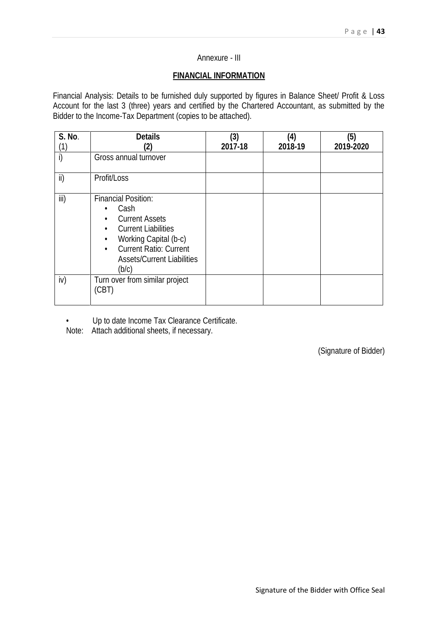#### Annexure - III

#### **FINANCIAL INFORMATION**

Financial Analysis: Details to be furnished duly supported by figures in Balance Sheet/ Profit & Loss Account for the last 3 (three) years and certified by the Chartered Accountant, as submitted by the Bidder to the Income-Tax Department (copies to be attached).

| <b>S. No.</b><br>(1) | <b>Details</b><br>(2)                                                                                                                                                                                                                                 | (3)<br>2017-18 | (4)<br>2018-19 | (5)<br>2019-2020 |
|----------------------|-------------------------------------------------------------------------------------------------------------------------------------------------------------------------------------------------------------------------------------------------------|----------------|----------------|------------------|
| i)                   | Gross annual turnover                                                                                                                                                                                                                                 |                |                |                  |
| ii)                  | Profit/Loss                                                                                                                                                                                                                                           |                |                |                  |
| iii)                 | <b>Financial Position:</b><br>Cash<br><b>Current Assets</b><br>$\bullet$<br><b>Current Liabilities</b><br>$\bullet$<br>Working Capital (b-c)<br>$\bullet$<br><b>Current Ratio: Current</b><br>$\bullet$<br><b>Assets/Current Liabilities</b><br>(b/c) |                |                |                  |
| iv)                  | Turn over from similar project<br>(CBT)                                                                                                                                                                                                               |                |                |                  |

• Up to date Income Tax Clearance Certificate.

Note: Attach additional sheets, if necessary.

(Signature of Bidder)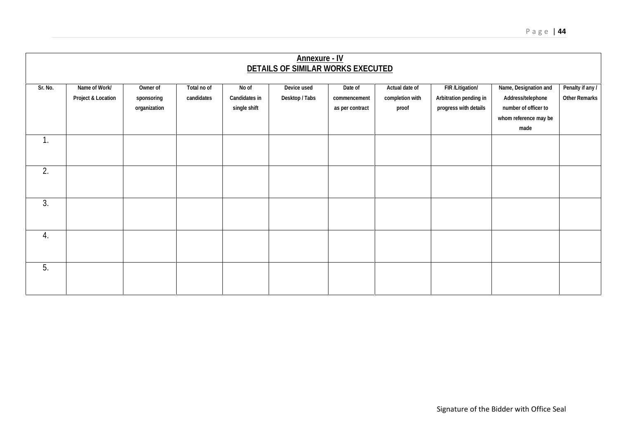|                | <b>Annexure - IV</b><br><b>DETAILS OF SIMILAR WORKS EXECUTED</b> |                                        |                           |                                               |                             |                                            |                                            |                                                                      |                                                                                                     |                                          |
|----------------|------------------------------------------------------------------|----------------------------------------|---------------------------|-----------------------------------------------|-----------------------------|--------------------------------------------|--------------------------------------------|----------------------------------------------------------------------|-----------------------------------------------------------------------------------------------------|------------------------------------------|
| Sr. No.        | Name of Work/<br>Project & Location                              | Owner of<br>sponsoring<br>organization | Total no of<br>candidates | No of<br><b>Candidates in</b><br>single shift | Device used<br>Desktop/Tabs | Date of<br>commencement<br>as per contract | Actual date of<br>completion with<br>proof | FIR / Litigation/<br>Arbitration pending in<br>progress with details | Name, Designation and<br>Address/telephone<br>number of officer to<br>whom reference may be<br>made | Penalty if any /<br><b>Other Remarks</b> |
| $\mathbf{1}$ . |                                                                  |                                        |                           |                                               |                             |                                            |                                            |                                                                      |                                                                                                     |                                          |
| 2.             |                                                                  |                                        |                           |                                               |                             |                                            |                                            |                                                                      |                                                                                                     |                                          |
| 3.             |                                                                  |                                        |                           |                                               |                             |                                            |                                            |                                                                      |                                                                                                     |                                          |
| 4.             |                                                                  |                                        |                           |                                               |                             |                                            |                                            |                                                                      |                                                                                                     |                                          |
| 5.             |                                                                  |                                        |                           |                                               |                             |                                            |                                            |                                                                      |                                                                                                     |                                          |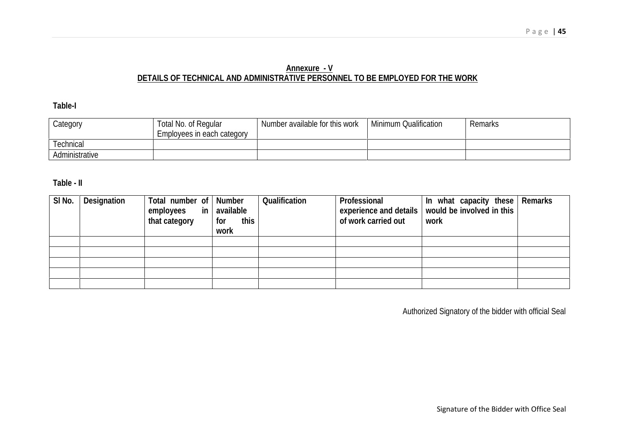### **Annexure - V DETAILS OF TECHNICAL AND ADMINISTRATIVE PERSONNEL TO BE EMPLOYED FOR THE WORK**

### **Table-I**

| Category       | <b>Total No. of Regular</b><br>Employees in each category | Number available for this work | <b>Minimum Qualification</b> | <b>Remarks</b> |
|----------------|-----------------------------------------------------------|--------------------------------|------------------------------|----------------|
| Technical      |                                                           |                                |                              |                |
| Administrative |                                                           |                                |                              |                |

#### **Table - II**

| SI No. | <b>Designation</b> | Total number of Number<br>employees<br>that category | in   available<br>this<br>for<br>work | Qualification | Professional<br>of work carried out | In what capacity these Remarks<br>experience and details   would be involved in this  <br>work |  |
|--------|--------------------|------------------------------------------------------|---------------------------------------|---------------|-------------------------------------|------------------------------------------------------------------------------------------------|--|
|        |                    |                                                      |                                       |               |                                     |                                                                                                |  |
|        |                    |                                                      |                                       |               |                                     |                                                                                                |  |
|        |                    |                                                      |                                       |               |                                     |                                                                                                |  |
|        |                    |                                                      |                                       |               |                                     |                                                                                                |  |
|        |                    |                                                      |                                       |               |                                     |                                                                                                |  |

Authorized Signatory of the bidder with official Seal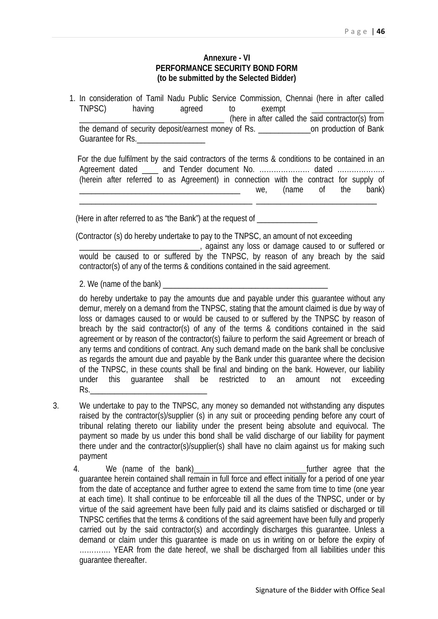#### **Annexure - VI PERFORMANCE SECURITY BOND FORM (to be submitted by the Selected Bidder)**

1. In consideration of Tamil Nadu Public Service Commission, Chennai (here in after called TNPSC) having agreed to exempt \_\_\_\_\_\_\_\_\_\_\_\_\_\_\_\_\_\_ (here in after called the said contractor(s) from the demand of security deposit/earnest money of Rs. <br>
on production of Bank Guarantee for Rs.

For the due fulfilment by the said contractors of the terms & conditions to be contained in an Agreement dated \_\_\_\_ and Tender document No. ………………………… dated ………………… (herein after referred to as Agreement) in connection with the contract for supply of \_\_\_\_\_\_\_\_\_\_\_\_\_\_\_\_\_\_\_\_\_\_\_\_\_\_\_\_\_\_\_\_\_\_\_\_\_\_\_\_ we, (name of the bank) \_\_\_\_\_\_\_\_\_\_\_\_\_\_\_\_\_\_\_\_\_\_\_\_\_\_\_\_\_\_\_\_\_\_\_\_\_\_\_\_\_\_\_ \_\_\_\_\_\_\_\_\_\_\_\_\_\_\_\_\_\_\_\_\_\_\_\_\_\_\_\_\_\_

(Here in after referred to as "the Bank") at the request of

(Contractor (s) do hereby undertake to pay to the TNPSC, an amount of not exceeding

\_\_\_\_\_\_\_\_\_\_\_\_\_\_\_\_\_\_\_\_\_\_\_\_\_\_\_\_\_\_, against any loss or damage caused to or suffered or would be caused to or suffered by the TNPSC, by reason of any breach by the said contractor(s) of any of the terms & conditions contained in the said agreement.

2. We (name of the bank)

do hereby undertake to pay the amounts due and payable under this guarantee without any demur, merely on a demand from the TNPSC, stating that the amount claimed is due by way of loss or damages caused to or would be caused to or suffered by the TNPSC by reason of breach by the said contractor(s) of any of the terms & conditions contained in the said agreement or by reason of the contractor(s) failure to perform the said Agreement or breach of any terms and conditions of contract. Any such demand made on the bank shall be conclusive as regards the amount due and payable by the Bank under this guarantee where the decision of the TNPSC, in these counts shall be final and binding on the bank. However, our liability under this guarantee shall be restricted to an amount not exceeding Rs.\_\_\_\_\_\_\_\_\_\_\_\_\_\_\_\_\_\_\_\_\_\_\_\_\_\_\_\_\_

- 3. We undertake to pay to the TNPSC, any money so demanded not withstanding any disputes raised by the contractor(s)/supplier (s) in any suit or proceeding pending before any court of tribunal relating thereto our liability under the present being absolute and equivocal. The payment so made by us under this bond shall be valid discharge of our liability for payment there under and the contractor(s)/supplier(s) shall have no claim against us for making such payment
	- 4. We (name of the bank) and the same of the bank of the same of the same that the same of the same of the bank guarantee herein contained shall remain in full force and effect initially for a period of one year from the date of acceptance and further agree to extend the same from time to time (one year at each time). It shall continue to be enforceable till all the dues of the TNPSC, under or by virtue of the said agreement have been fully paid and its claims satisfied or discharged or till TNPSC certifies that the terms & conditions of the said agreement have been fully and properly carried out by the said contractor(s) and accordingly discharges this guarantee. Unless a demand or claim under this guarantee is made on us in writing on or before the expiry of …………. YEAR from the date hereof, we shall be discharged from all liabilities under this guarantee thereafter.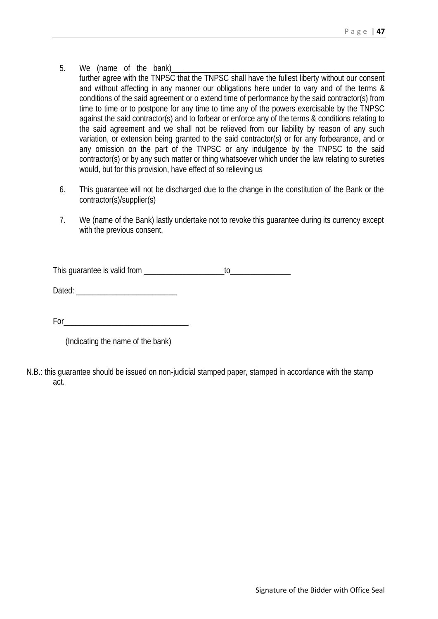- 5. We (name of the bank)
	- further agree with the TNPSC that the TNPSC shall have the fullest liberty without our consent and without affecting in any manner our obligations here under to vary and of the terms & conditions of the said agreement or o extend time of performance by the said contractor(s) from time to time or to postpone for any time to time any of the powers exercisable by the TNPSC against the said contractor(s) and to forbear or enforce any of the terms & conditions relating to the said agreement and we shall not be relieved from our liability by reason of any such variation, or extension being granted to the said contractor(s) or for any forbearance, and or any omission on the part of the TNPSC or any indulgence by the TNPSC to the said contractor(s) or by any such matter or thing whatsoever which under the law relating to sureties would, but for this provision, have effect of so relieving us
- 6. This guarantee will not be discharged due to the change in the constitution of the Bank or the contractor(s)/supplier(s)
- 7. We (name of the Bank) lastly undertake not to revoke this guarantee during its currency except with the previous consent.

This quarantee is valid from **the contract of the contract of the contract of the contract of the contract of the contract of the contract of the contract of the contract of the contract of the contract of the contract of** 

Dated: \_\_\_\_\_\_\_\_\_\_\_\_\_\_\_\_\_\_\_\_\_\_\_\_\_

For  $\Box$ 

(Indicating the name of the bank)

N.B.: this guarantee should be issued on non-judicial stamped paper, stamped in accordance with the stamp act.